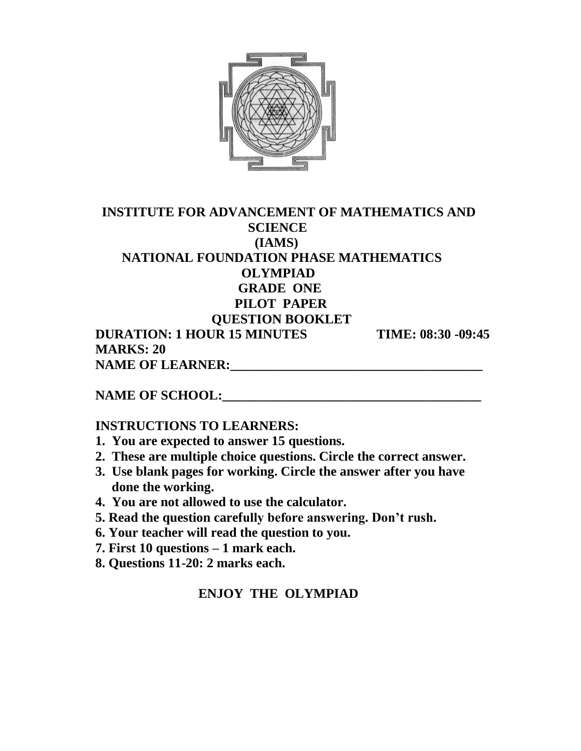

## **INSTITUTE FOR ADVANCEMENT OF MATHEMATICS AND SCIENCE (IAMS) NATIONAL FOUNDATION PHASE MATHEMATICS OLYMPIAD GRADE ONE PILOT PAPER QUESTION BOOKLET DURATION: 1 HOUR 15 MINUTES TIME: 08:30 -09:45 MARKS: 20**

**NAME OF LEARNER:**  $\blacksquare$ 

**NAME OF SCHOOL:** 

#### **INSTRUCTIONS TO LEARNERS:**

- **1. You are expected to answer 15 questions.**
- **2. These are multiple choice questions. Circle the correct answer.**
- **3. Use blank pages for working. Circle the answer after you have done the working.**
- **4. You are not allowed to use the calculator.**
- **5. Read the question carefully before answering. Don't rush.**
- **6. Your teacher will read the question to you.**
- **7. First 10 questions – 1 mark each.**
- **8. Questions 11-20: 2 marks each.**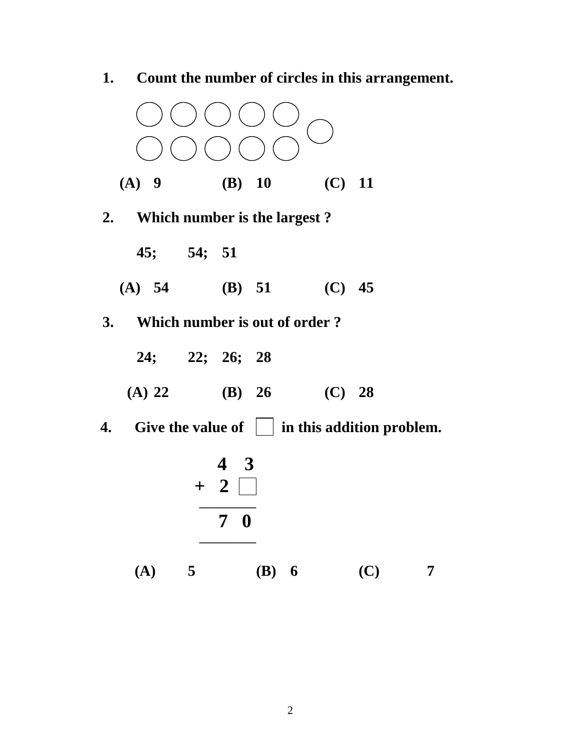

**1. Count the number of circles in this arrangement.**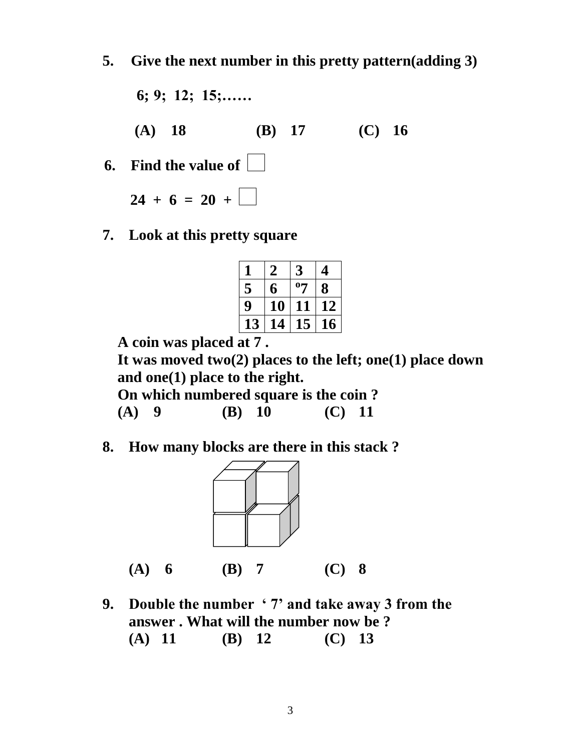- **5. Give the next number in this pretty pattern(adding 3)**
- **6; 9; 12; 15;…… (A) 18 (B) 17 (C) 16 6. Find the value of**

 $24 + 6 = 20 + \Box$ 

**7. Look at this pretty square**

|    |    | 3  |    |
|----|----|----|----|
| 5  | 6  | 07 | 8  |
| 9  | 10 | 11 | 12 |
| 13 | 14 | 15 | 16 |
|    |    |    |    |

 **A coin was placed at 7 .**

 **It was moved two(2) places to the left; one(1) place down and one(1) place to the right.**

 **On which numbered square is the coin ?**

 **(A) 9 (B) 10 (C) 11**

**8. How many blocks are there in this stack ?**



**(A) 6 (B) 7 (C) 8**

**9. Double the number ' 7' and take away 3 from the answer . What will the number now be ? (A) 11 (B) 12 (C) 13**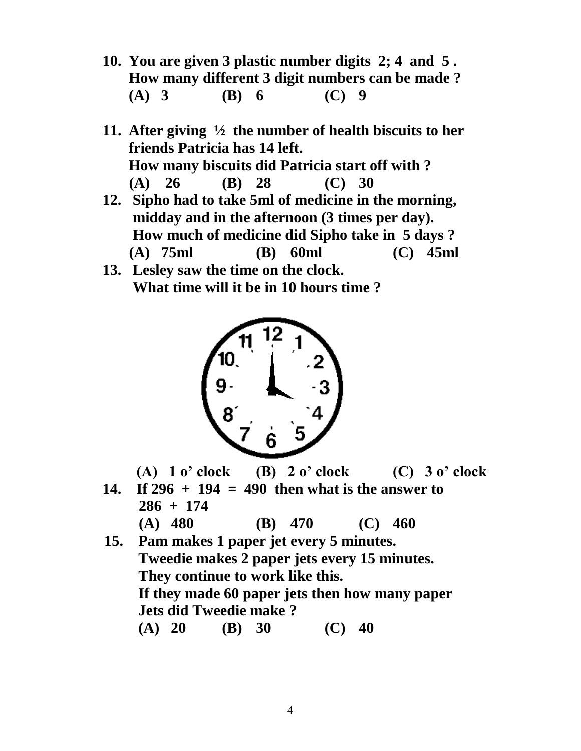- **10. You are given 3 plastic number digits 2; 4 and 5 . How many different 3 digit numbers can be made ? (A) 3 (B) 6 (C) 9**
- **11. After giving ½ the number of health biscuits to her friends Patricia has 14 left. How many biscuits did Patricia start off with ? (A) 26 (B) 28 (C) 30**
- **12. Sipho had to take 5ml of medicine in the morning, midday and in the afternoon (3 times per day). How much of medicine did Sipho take in 5 days ? (A) 75ml (B) 60ml (C) 45ml**
- **13. Lesley saw the time on the clock. What time will it be in 10 hours time ?**



- **(A) 1 o' clock (B) 2 o' clock (C) 3 o' clock**
- **14. If 296 + 194 = 490 then what is the answer to 286 + 174 (A) 480 (B) 470 (C) 460**
- **15. Pam makes 1 paper jet every 5 minutes. Tweedie makes 2 paper jets every 15 minutes. They continue to work like this. If they made 60 paper jets then how many paper Jets did Tweedie make ? (A) 20 (B) 30 (C) 40**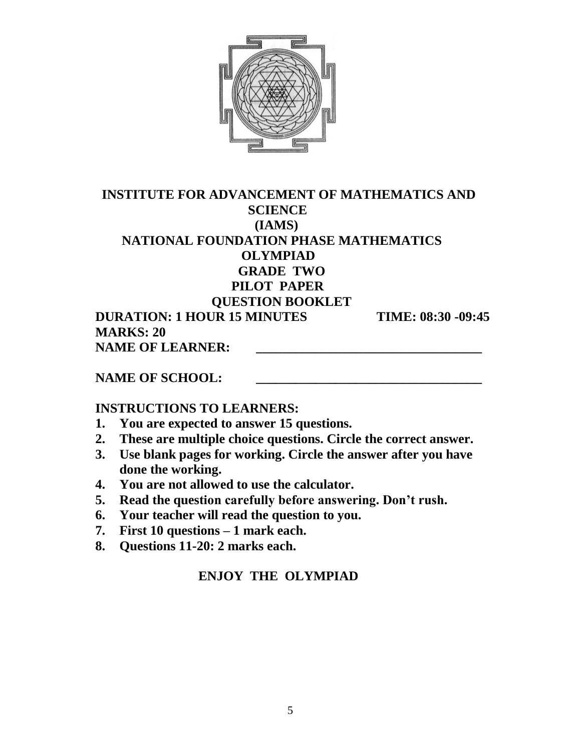

#### **INSTITUTE FOR ADVANCEMENT OF MATHEMATICS AND SCIENCE (IAMS) NATIONAL FOUNDATION PHASE MATHEMATICS OLYMPIAD GRADE TWO PILOT PAPER QUESTION BOOKLET DURATION: 1 HOUR 15 MINUTES TIME: 08:30 -09:45 MARKS: 20 NAME OF LEARNER:**

#### NAME OF SCHOOL:

#### **INSTRUCTIONS TO LEARNERS:**

- **1. You are expected to answer 15 questions.**
- **2. These are multiple choice questions. Circle the correct answer.**
- **3. Use blank pages for working. Circle the answer after you have done the working.**
- **4. You are not allowed to use the calculator.**
- **5. Read the question carefully before answering. Don't rush.**
- **6. Your teacher will read the question to you.**
- **7. First 10 questions – 1 mark each.**
- **8. Questions 11-20: 2 marks each.**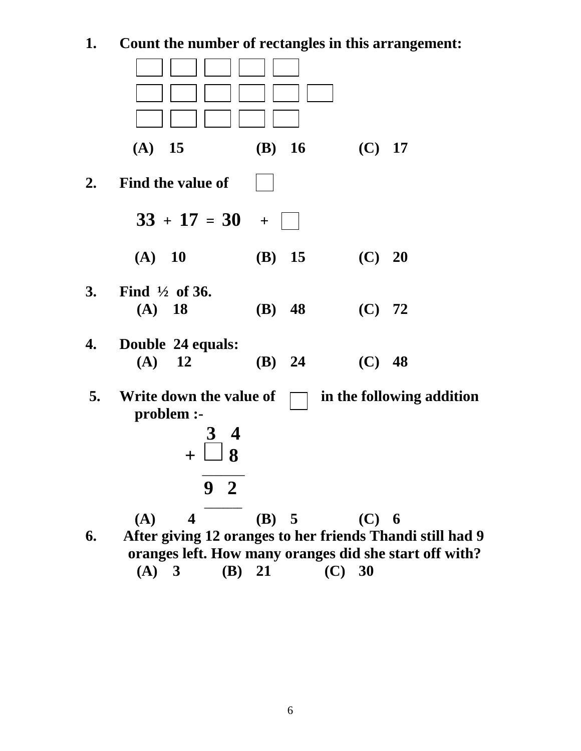## **1. Count the number of rectangles in this arrangement:**

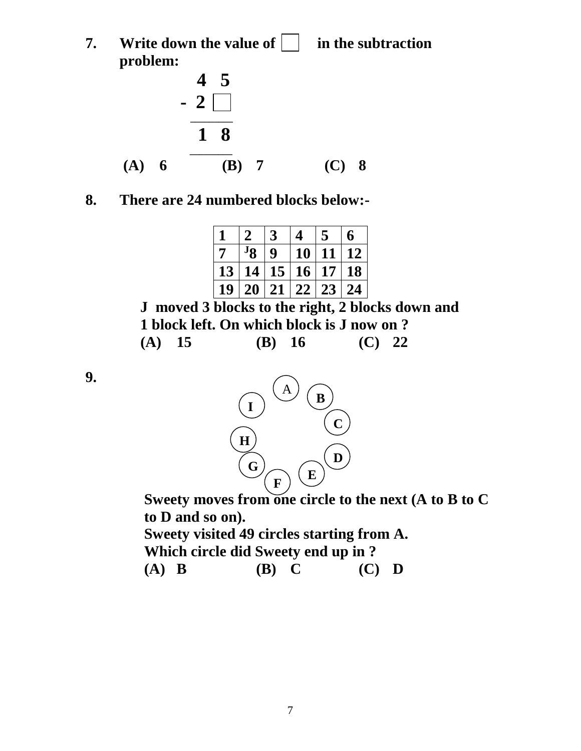**7. Write down the value of**  in the subtraction **problem:**



## **8. There are 24 numbered blocks below:-**

|                |          |                 | 4               |                 | 6         |
|----------------|----------|-----------------|-----------------|-----------------|-----------|
| $\overline{7}$ | $\rm Jg$ | 9               | <b>10</b>       | 11              | 12        |
| 13             | 14       | 15 <sup>1</sup> | 16 <sup>1</sup> | 17 <sup>1</sup> | <b>18</b> |
| 19             | 20       | 21              | 22              | 23              | 24        |

 **J moved 3 blocks to the right, 2 blocks down and 1 block left. On which block is J now on ? (A) 15 (B) 16 (C) 22**

**9.** 



 **Sweety moves from one circle to the next (A to B to C to D and so on). Sweety visited 49 circles starting from A.**

 **Which circle did Sweety end up in ?**

 **(A) B (B) C (C) D**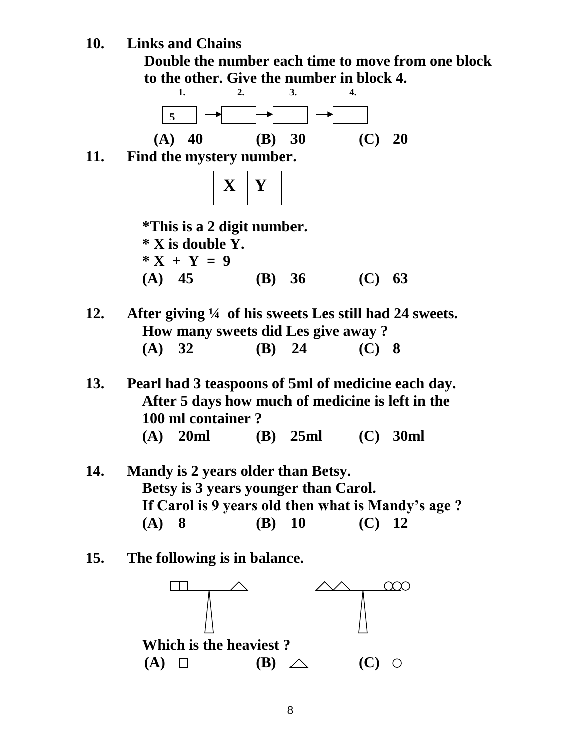**10. Links and Chains**





**13. Pearl had 3 teaspoons of 5ml of medicine each day. After 5 days how much of medicine is left in the 100 ml container ? (A) 20ml (B) 25ml (C) 30ml**

- **14. Mandy is 2 years older than Betsy. Betsy is 3 years younger than Carol. If Carol is 9 years old then what is Mandy's age ? (A) 8 (B) 10 (C) 12**
- **15. The following is in balance.**

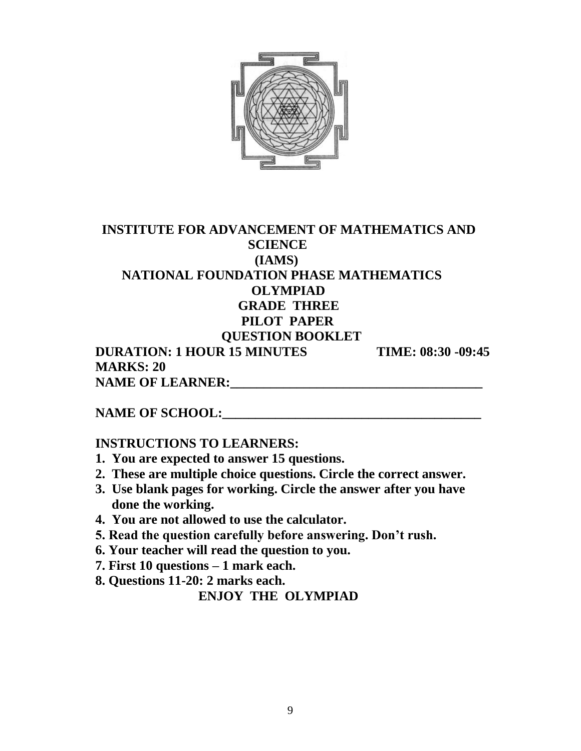

## **INSTITUTE FOR ADVANCEMENT OF MATHEMATICS AND SCIENCE (IAMS) NATIONAL FOUNDATION PHASE MATHEMATICS OLYMPIAD GRADE THREE PILOT PAPER QUESTION BOOKLET DURATION: 1 HOUR 15 MINUTES TIME: 08:30 -09:45**

 **MARKS: 20 NAME OF LEARNER:\_\_\_\_\_\_\_\_\_\_\_\_\_\_\_\_\_\_\_\_\_\_\_\_\_\_\_\_\_\_\_\_\_\_\_\_\_\_** 

## **NAME OF SCHOOL:**

#### **INSTRUCTIONS TO LEARNERS:**

- **1. You are expected to answer 15 questions.**
- **2. These are multiple choice questions. Circle the correct answer.**
- **3. Use blank pages for working. Circle the answer after you have done the working.**
- **4. You are not allowed to use the calculator.**
- **5. Read the question carefully before answering. Don't rush.**
- **6. Your teacher will read the question to you.**
- **7. First 10 questions – 1 mark each.**
- **8. Questions 11-20: 2 marks each.**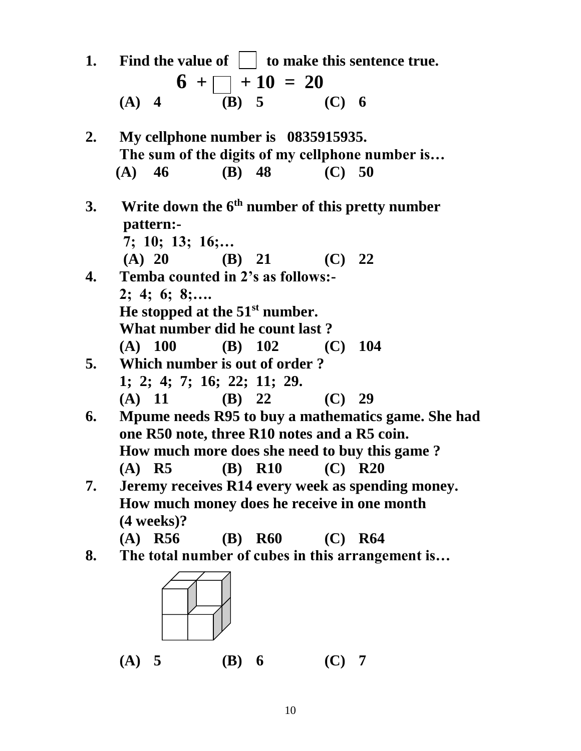| 1.        |                                          |           |                                                                                                          | <b>Example 1</b> Find the value of $\vert \cdot \vert$ to make this sentence true. |
|-----------|------------------------------------------|-----------|----------------------------------------------------------------------------------------------------------|------------------------------------------------------------------------------------|
|           |                                          |           |                                                                                                          |                                                                                    |
|           |                                          |           | (A) 4 6 + $\begin{array}{ c c c c c } \hline +10 & =20 \\ \hline (B) & 5 & (C) & 6 \\\hline \end{array}$ |                                                                                    |
| 2.        | My cellphone number is 0835915935.       |           |                                                                                                          |                                                                                    |
|           |                                          |           |                                                                                                          | The sum of the digits of my cellphone number is                                    |
|           | $(A)$ 46                                 |           | (B) 48 (C) 50                                                                                            |                                                                                    |
| <b>3.</b> | pattern:-                                |           |                                                                                                          | <b>EXECUTE:</b> Write down the $6th$ number of this pretty number                  |
|           | 7; 10; 13; 16;                           |           |                                                                                                          |                                                                                    |
|           |                                          |           | (A) 20 (B) 21 (C) 22                                                                                     |                                                                                    |
| 4.        | <b>Temba counted in 2's as follows:-</b> |           |                                                                                                          |                                                                                    |
|           | $2; 4; 6; 8; \ldots$                     |           |                                                                                                          |                                                                                    |
|           | He stopped at the $51st$ number.         |           |                                                                                                          |                                                                                    |
|           | What number did he count last?           |           |                                                                                                          |                                                                                    |
|           |                                          |           | (A) $100$ (B) $102$ (C) $104$                                                                            |                                                                                    |
| 5.        | Which number is out of order?            |           |                                                                                                          |                                                                                    |
|           | 1; 2; 4; 7; 16; 22; 11; 29.              |           |                                                                                                          |                                                                                    |
|           |                                          |           | (A) 11 (B) 22 (C) 29                                                                                     |                                                                                    |
| 6.        |                                          |           |                                                                                                          | Mpume needs R95 to buy a mathematics game. She had                                 |
|           |                                          |           | one R50 note, three R10 notes and a R5 coin.                                                             |                                                                                    |
|           |                                          |           |                                                                                                          | How much more does she need to buy this game?                                      |
|           | $(A)$ R5                                 |           | ( <b>B</b> ) <b>R10</b>                                                                                  | $(C)$ R20                                                                          |
| 7.        |                                          |           |                                                                                                          | Jeremy receives R14 every week as spending money.                                  |
|           |                                          |           | How much money does he receive in one month                                                              |                                                                                    |
|           | $(4 \text{ weeks})$ ?                    |           |                                                                                                          |                                                                                    |
|           | $(A)$ R56                                | $(B)$ R60 | (C)                                                                                                      | <b>R64</b>                                                                         |
| 8.        |                                          |           |                                                                                                          | The total number of cubes in this arrangement is                                   |
|           |                                          |           |                                                                                                          |                                                                                    |
|           | (A) 5                                    | $(B)$ 6   | $(C)$ 7                                                                                                  |                                                                                    |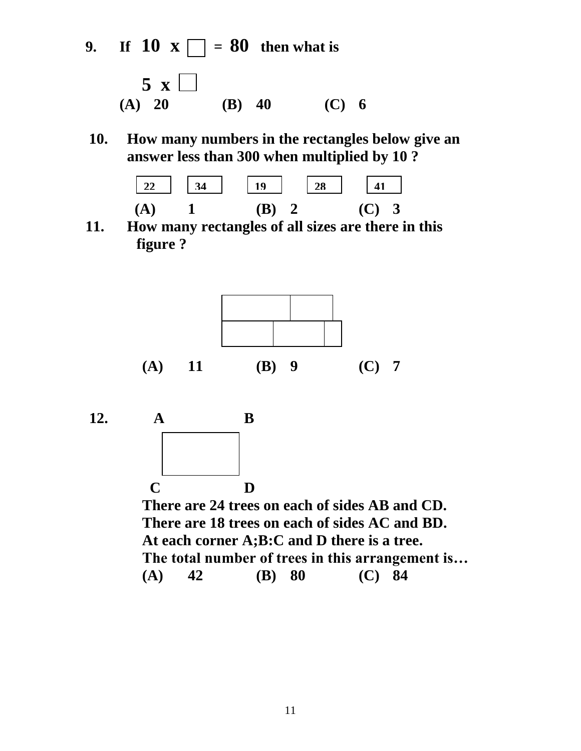**9. If 10 x**  $\Box$  = **80** then what is



**10. How many numbers in the rectangles below give an answer less than 300 when multiplied by 10 ?** 



**11. How many rectangles of all sizes are there in this figure ?**





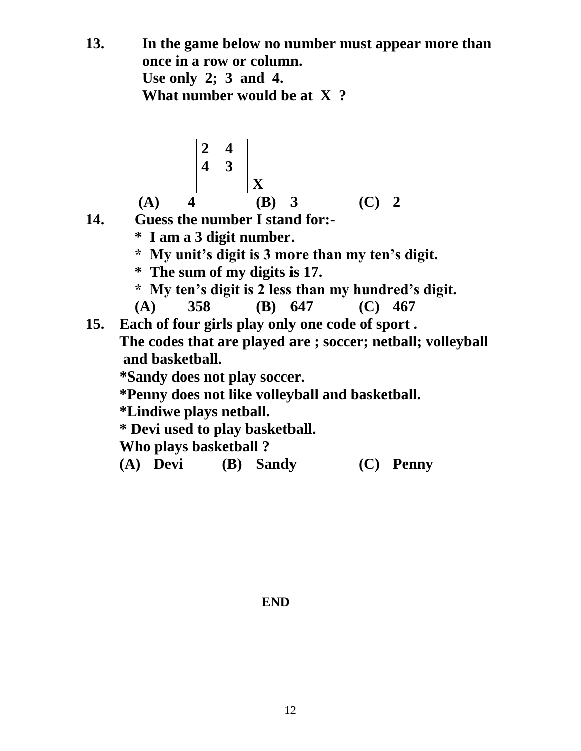**13. In the game below no number must appear more than once in a row or column. Use only 2; 3 and 4. What number would be at X ?**



- **14. Guess the number I stand for:-**
	- **\* I am a 3 digit number.**
	- **\* My unit's digit is 3 more than my ten's digit.**
	- **\* The sum of my digits is 17.**
	- **\* My ten's digit is 2 less than my hundred's digit.**

 **(A) 358 (B) 647 (C) 467**

**15. Each of four girls play only one code of sport . The codes that are played are ; soccer; netball; volleyball and basketball.** 

**\*Sandy does not play soccer.**

 **\*Penny does not like volleyball and basketball.**

 **\*Lindiwe plays netball.**

 **\* Devi used to play basketball.**

 **Who plays basketball ?**

 **(A) Devi (B) Sandy (C) Penny** 

**END**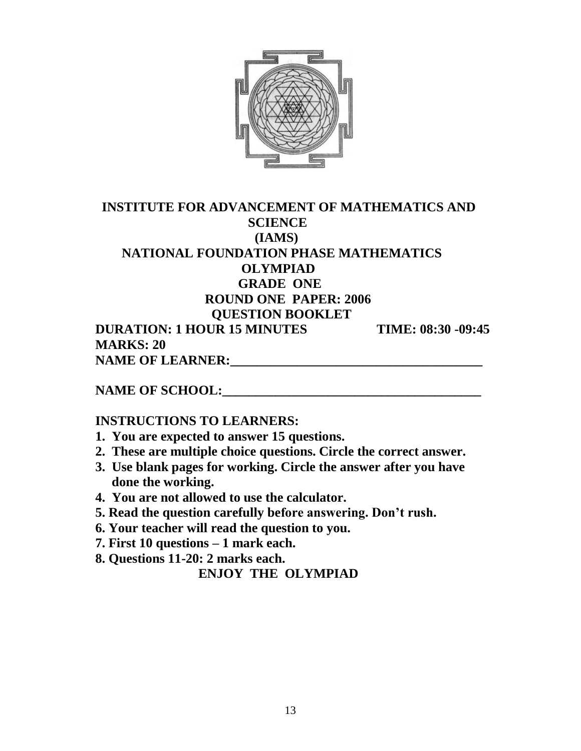

#### **INSTITUTE FOR ADVANCEMENT OF MATHEMATICS AND SCIENCE (IAMS) NATIONAL FOUNDATION PHASE MATHEMATICS OLYMPIAD GRADE ONE ROUND ONE PAPER: 2006 QUESTION BOOKLET DURATION: 1 HOUR 15 MINUTES TIME: 08:30 -09:45 MARKS: 20**

 **NAME OF LEARNER:\_\_\_\_\_\_\_\_\_\_\_\_\_\_\_\_\_\_\_\_\_\_\_\_\_\_\_\_\_\_\_\_\_\_\_\_\_\_** 

**NAME OF SCHOOL:** 

#### **INSTRUCTIONS TO LEARNERS:**

- **1. You are expected to answer 15 questions.**
- **2. These are multiple choice questions. Circle the correct answer.**
- **3. Use blank pages for working. Circle the answer after you have done the working.**
- **4. You are not allowed to use the calculator.**
- **5. Read the question carefully before answering. Don't rush.**
- **6. Your teacher will read the question to you.**
- **7. First 10 questions – 1 mark each.**

 **8. Questions 11-20: 2 marks each.**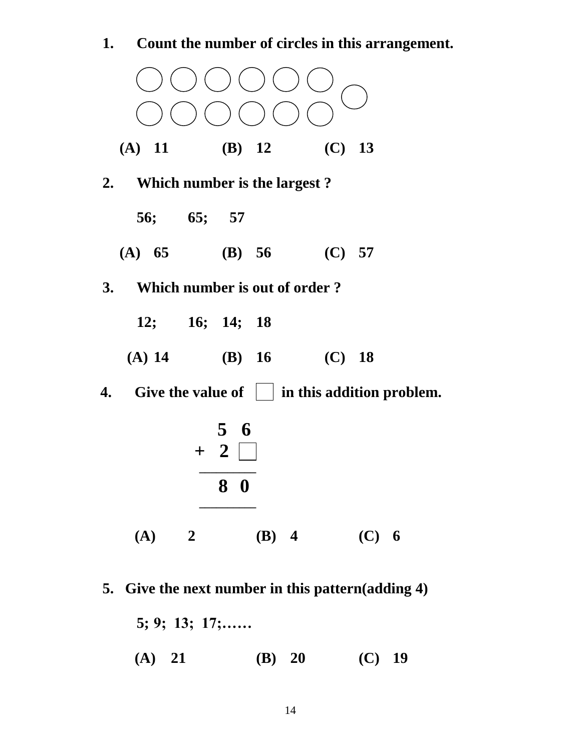

**5. Give the next number in this pattern(adding 4)**

**5; 9; 13; 17;…… (A) 21 (B) 20 (C) 19**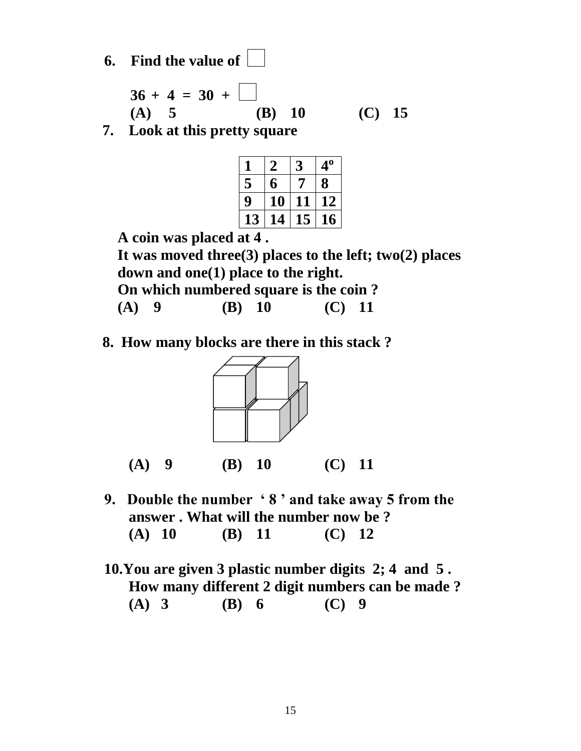**6. Find the value of** 

$$
36 + 4 = 30 + \boxed{\phantom{0}}
$$
  
(A) 5 (B) 10 (C) 15

**7. Look at this pretty square**

| $\mathbf I$ |    | 3  | 4 <sup>0</sup> |
|-------------|----|----|----------------|
| 5           | 6  | 7  | 8              |
| 9           | 10 | 11 | 12             |
| 13          | 14 | 15 | 16             |
|             |    |    |                |

 **A coin was placed at 4 .**

 **It was moved three(3) places to the left; two(2) places down and one(1) place to the right.**

 **On which numbered square is the coin ?**

 **(A) 9 (B) 10 (C) 11**

**8. How many blocks are there in this stack ?**



**(A) 9 (B) 10 (C) 11**

- **9. Double the number ' 8 ' and take away 5 from the answer . What will the number now be ? (A) 10 (B) 11 (C) 12**
- **10.You are given 3 plastic number digits 2; 4 and 5 . How many different 2 digit numbers can be made ? (A) 3 (B) 6 (C) 9**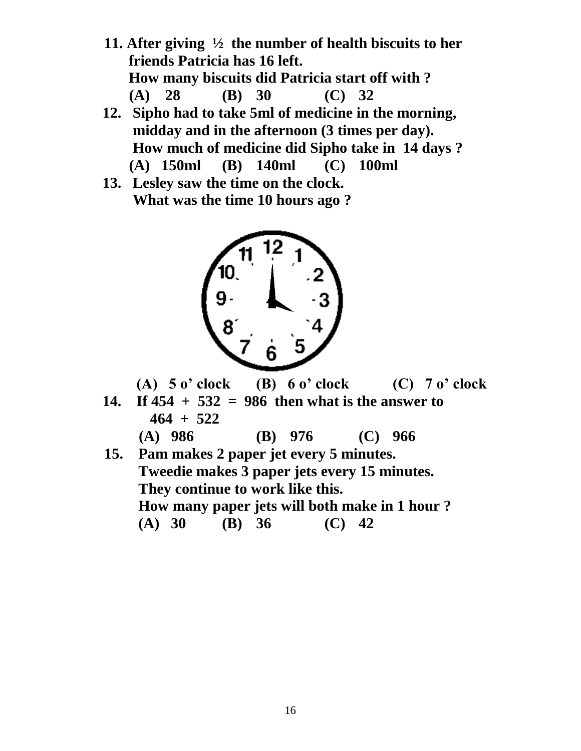- **11. After giving ½ the number of health biscuits to her friends Patricia has 16 left. How many biscuits did Patricia start off with ? (A) 28 (B) 30 (C) 32**
- **12. Sipho had to take 5ml of medicine in the morning, midday and in the afternoon (3 times per day). How much of medicine did Sipho take in 14 days ? (A) 150ml (B) 140ml (C) 100ml**
- **13. Lesley saw the time on the clock. What was the time 10 hours ago ?**



 **(A) 5 o' clock (B) 6 o' clock (C) 7 o' clock**

**14. If 454 + 532 = 986 then what is the answer to 464 + 522**

**(A) 986 (B) 976 (C) 966** 

 **15. Pam makes 2 paper jet every 5 minutes. Tweedie makes 3 paper jets every 15 minutes. They continue to work like this. How many paper jets will both make in 1 hour ? (A) 30 (B) 36 (C) 42**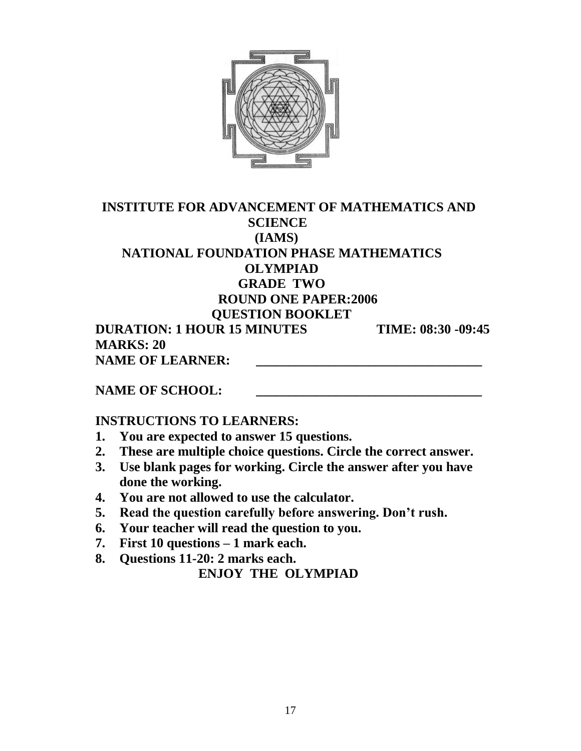

#### **INSTITUTE FOR ADVANCEMENT OF MATHEMATICS AND SCIENCE (IAMS) NATIONAL FOUNDATION PHASE MATHEMATICS OLYMPIAD GRADE TWO ROUND ONE PAPER:2006 QUESTION BOOKLET DURATION: 1 HOUR 15 MINUTES TIME: 08:30 -09:45 MARKS: 20**

**NAME OF LEARNER:** 

NAME OF SCHOOL:

## **INSTRUCTIONS TO LEARNERS:**

- **1. You are expected to answer 15 questions.**
- **2. These are multiple choice questions. Circle the correct answer.**
- **3. Use blank pages for working. Circle the answer after you have done the working.**
- **4. You are not allowed to use the calculator.**
- **5. Read the question carefully before answering. Don't rush.**
- **6. Your teacher will read the question to you.**
- **7. First 10 questions – 1 mark each.**
- **8. Questions 11-20: 2 marks each.**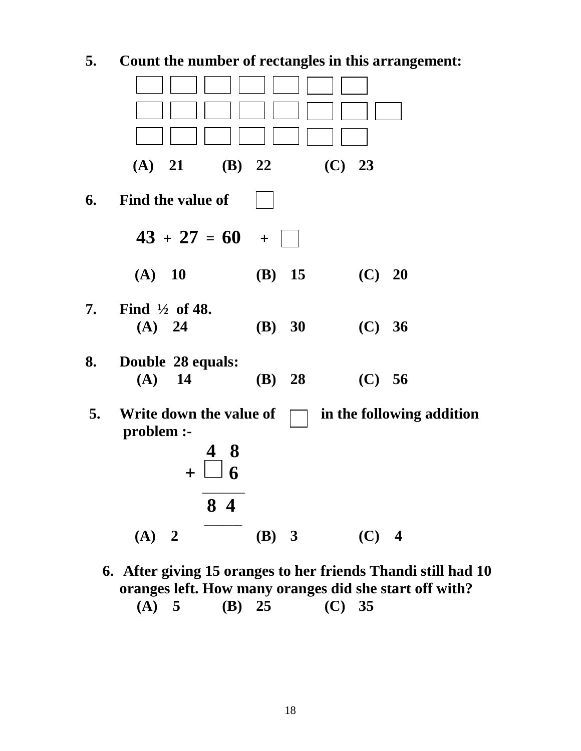

**6. After giving 15 oranges to her friends Thandi still had 10 oranges left. How many oranges did she start off with? (A) 5 (B) 25 (C) 35**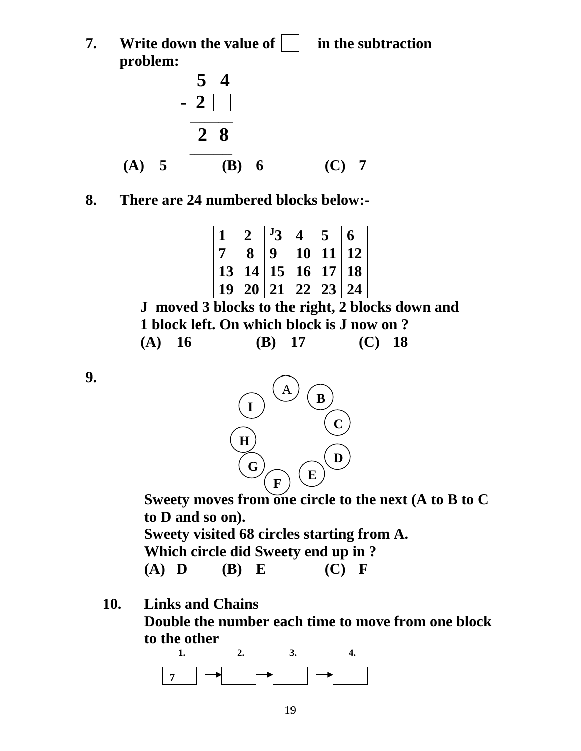**7. Write down the value of**  in the subtraction **problem:**



## **8. There are 24 numbered blocks below:-**

|                |    | $J_2$            | Δ               |                 | 6         |
|----------------|----|------------------|-----------------|-----------------|-----------|
| $\overline{7}$ | 8  | $\boldsymbol{Q}$ | 10 <sup>1</sup> | 11              | 12        |
| 13             | 14 | 15 <sup>2</sup>  | 16 <sup>1</sup> | 17 <sup>1</sup> | <b>18</b> |
| 19             | 20 | 21               | 22              | 23              | 24        |

 **J moved 3 blocks to the right, 2 blocks down and 1 block left. On which block is J now on ? (A) 16 (B) 17 (C) 18**

**9.** 



 **Sweety moves from one circle to the next (A to B to C to D and so on).**

 **Sweety visited 68 circles starting from A.**

 **Which circle did Sweety end up in ?**

**10. Links and Chains**

 **Double the number each time to move from one block to the other** 

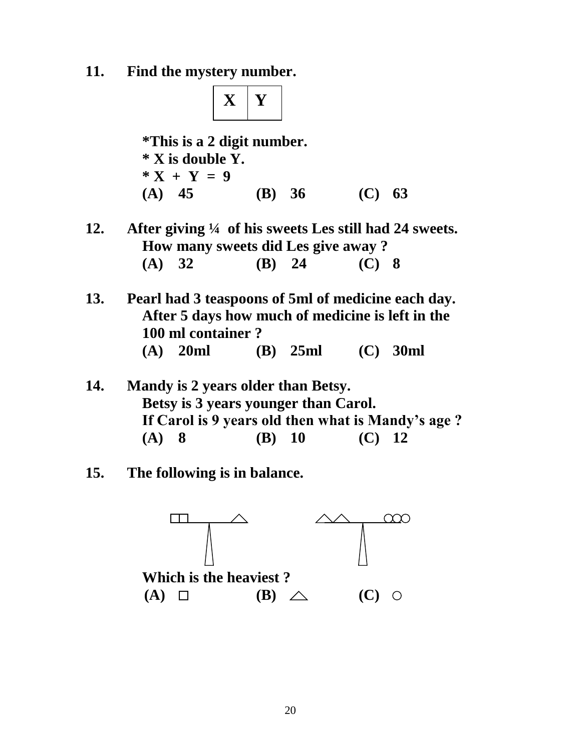**11. Find the mystery number.**



 **\*This is a 2 digit number. \* X is double Y.**  $*X + Y = 9$  **(A) 45 (B) 36 (C) 63**

- **12. After giving ¼ of his sweets Les still had 24 sweets. How many sweets did Les give away ? (A) 32 (B) 24 (C) 8**
- **13. Pearl had 3 teaspoons of 5ml of medicine each day. After 5 days how much of medicine is left in the 100 ml container ? (A) 20ml (B) 25ml (C) 30ml**
- **14. Mandy is 2 years older than Betsy. Betsy is 3 years younger than Carol. If Carol is 9 years old then what is Mandy's age ? (A) 8 (B) 10 (C) 12**
- **15. The following is in balance.**

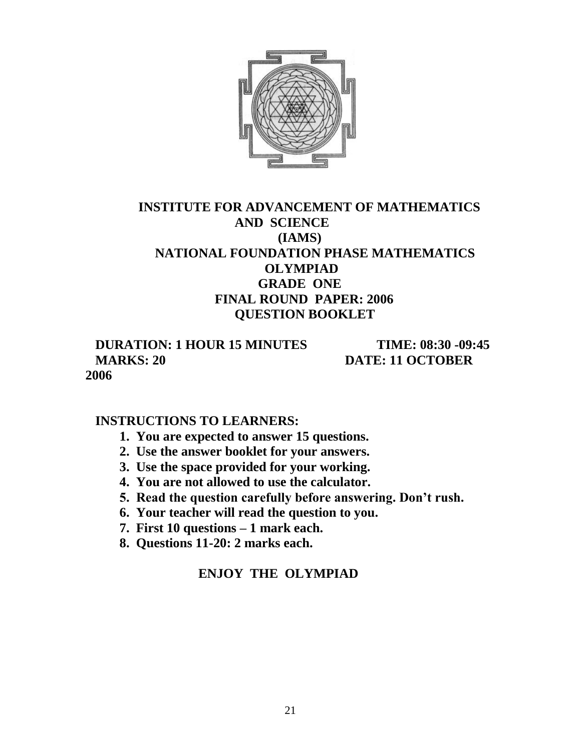

## **INSTITUTE FOR ADVANCEMENT OF MATHEMATICS AND SCIENCE (IAMS) NATIONAL FOUNDATION PHASE MATHEMATICS OLYMPIAD GRADE ONE FINAL ROUND PAPER: 2006 QUESTION BOOKLET**

 **DURATION: 1 HOUR 15 MINUTES TIME: 08:30 -09:45 MARKS: 20 DATE: 11 OCTOBER** 

**2006**

#### **INSTRUCTIONS TO LEARNERS:**

- **1. You are expected to answer 15 questions.**
- **2. Use the answer booklet for your answers.**
- **3. Use the space provided for your working.**
- **4. You are not allowed to use the calculator.**
- **5. Read the question carefully before answering. Don't rush.**
- **6. Your teacher will read the question to you.**
- **7. First 10 questions – 1 mark each.**
- **8. Questions 11-20: 2 marks each.**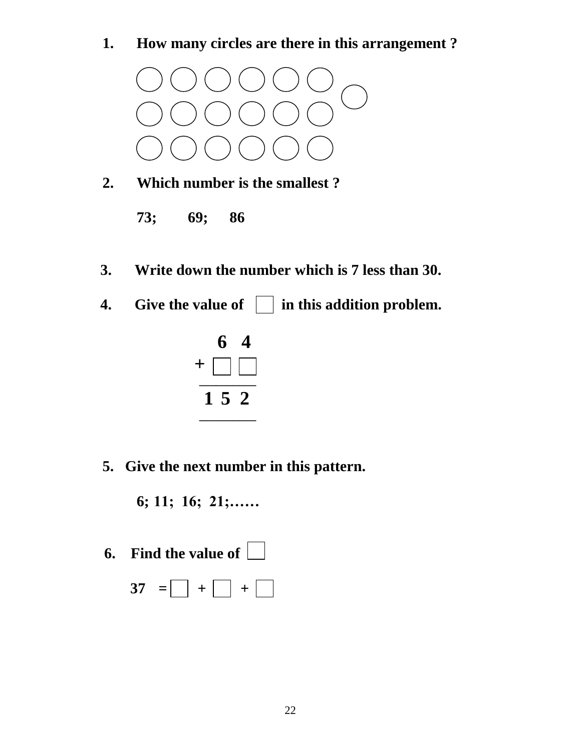**1. How many circles are there in this arrangement ?**



- **2. Which number is the smallest ?** 
	- **73; 69; 86**
- **3. Write down the number which is 7 less than 30.**
- **4.** Give the value of  $\Box$  in this addition problem.



**5. Give the next number in this pattern.**

**6; 11; 16; 21;……**

 **6. Find the value of** 

$$
37 = \square + \square + \square
$$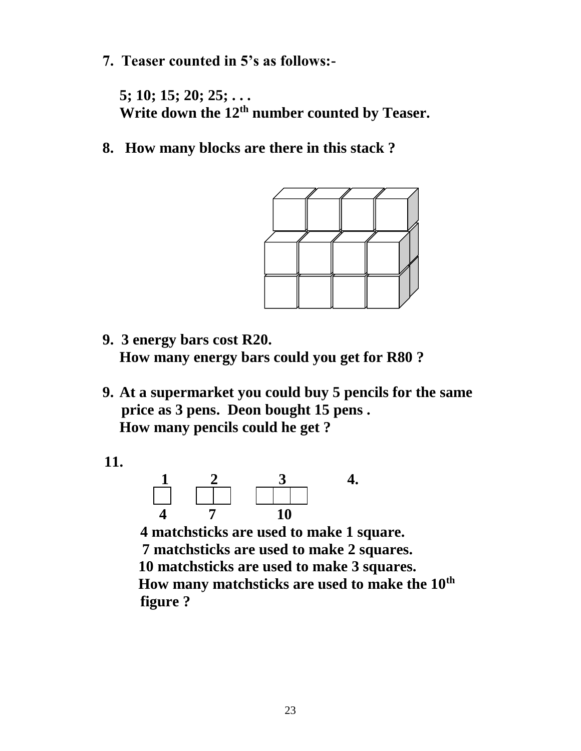**7. Teaser counted in 5's as follows:-**

**5; 10; 15; 20; 25; . . . Write down the 12th number counted by Teaser.**

**8. How many blocks are there in this stack ?**



- **9. 3 energy bars cost R20. How many energy bars could you get for R80 ?**
- **9. At a supermarket you could buy 5 pencils for the same price as 3 pens. Deon bought 15 pens . How many pencils could he get ?**

 **11.**



 **4 matchsticks are used to make 1 square. 7 matchsticks are used to make 2 squares. 10 matchsticks are used to make 3 squares. How many matchsticks are used to make the 10th figure ?**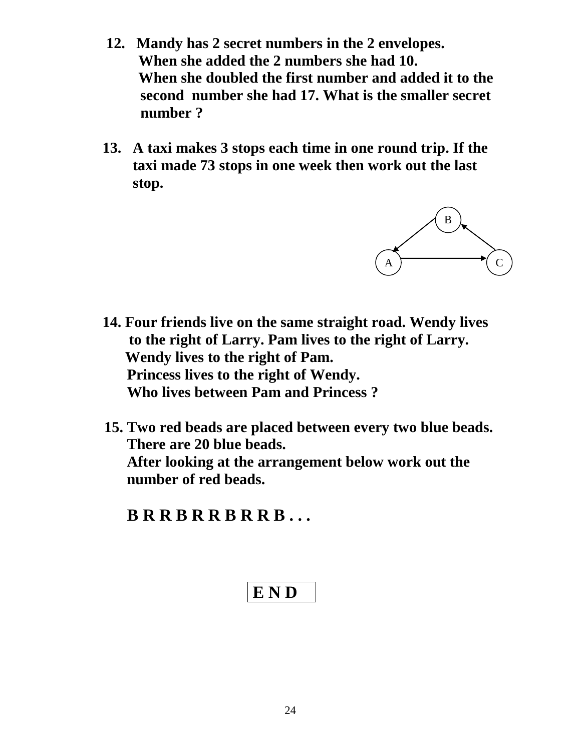- **12. Mandy has 2 secret numbers in the 2 envelopes. When she added the 2 numbers she had 10. When she doubled the first number and added it to the second number she had 17. What is the smaller secret number ?**
- **13. A taxi makes 3 stops each time in one round trip. If the taxi made 73 stops in one week then work out the last stop.**



- **14. Four friends live on the same straight road. Wendy lives to the right of Larry. Pam lives to the right of Larry. Wendy lives to the right of Pam. Princess lives to the right of Wendy. Who lives between Pam and Princess ?**
- **15. Two red beads are placed between every two blue beads. There are 20 blue beads.**

 **After looking at the arrangement below work out the number of red beads.**

 **B R R B R R B R R B . . .**

$$
\mathbf{E}\,\mathbf{N}\,\mathbf{D}
$$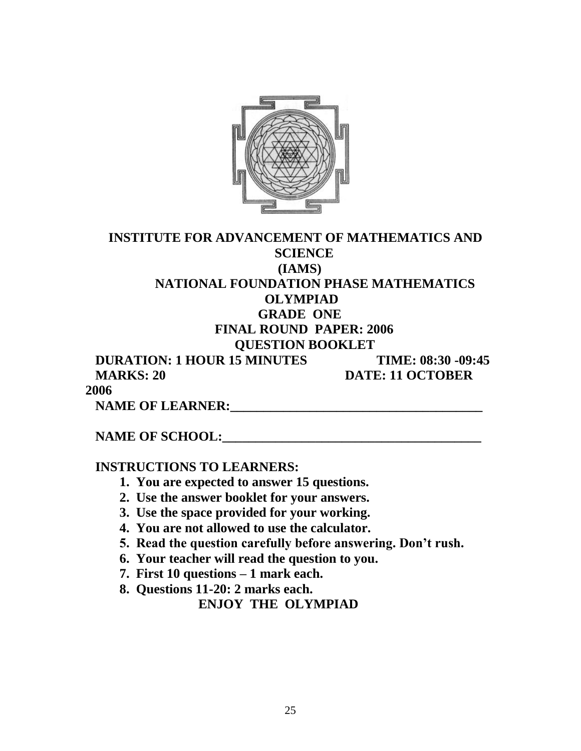

| <b>INSTITUTE FOR ADVANCEMENT OF MATHEMATICS AND</b> |                         |
|-----------------------------------------------------|-------------------------|
| <b>SCIENCE</b>                                      |                         |
| (IAMS)                                              |                         |
| NATIONAL FOUNDATION PHASE MATHEMATICS               |                         |
| <b>OLYMPIAD</b>                                     |                         |
| <b>GRADE ONE</b>                                    |                         |
| <b>FINAL ROUND PAPER: 2006</b>                      |                         |
| <b>QUESTION BOOKLET</b>                             |                         |
| <b>DURATION: 1 HOUR 15 MINUTES</b>                  | TIME: 08:30 -09:45      |
| <b>MARKS: 20</b>                                    | <b>DATE: 11 OCTOBER</b> |

**2006**

 **NAME OF LEARNER:\_\_\_\_\_\_\_\_\_\_\_\_\_\_\_\_\_\_\_\_\_\_\_\_\_\_\_\_\_\_\_\_\_\_\_\_\_\_** 

## **NAME OF SCHOOL:**

 **INSTRUCTIONS TO LEARNERS:**

- **1. You are expected to answer 15 questions.**
- **2. Use the answer booklet for your answers.**
- **3. Use the space provided for your working.**
- **4. You are not allowed to use the calculator.**
- **5. Read the question carefully before answering. Don't rush.**
- **6. Your teacher will read the question to you.**
- **7. First 10 questions – 1 mark each.**
- **8. Questions 11-20: 2 marks each.**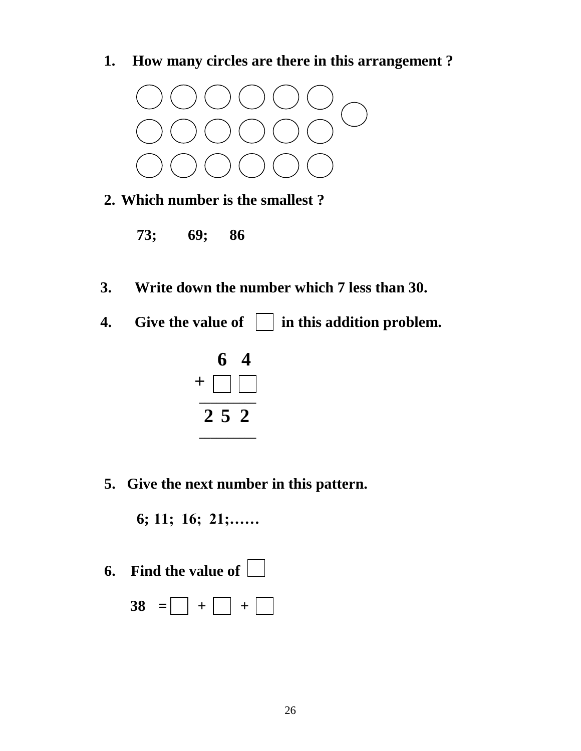**1. How many circles are there in this arrangement ?**



- **2. Which number is the smallest ?** 
	- **73; 69; 86**
- **3. Write down the number which 7 less than 30.**
- **4.** Give the value of  $\Box$  in this addition problem.



 **5. Give the next number in this pattern.**

**6; 11; 16; 21;……**

- **6. Find the value of** 
	- **38** =  $\Box$  +  $\Box$  +  $\Box$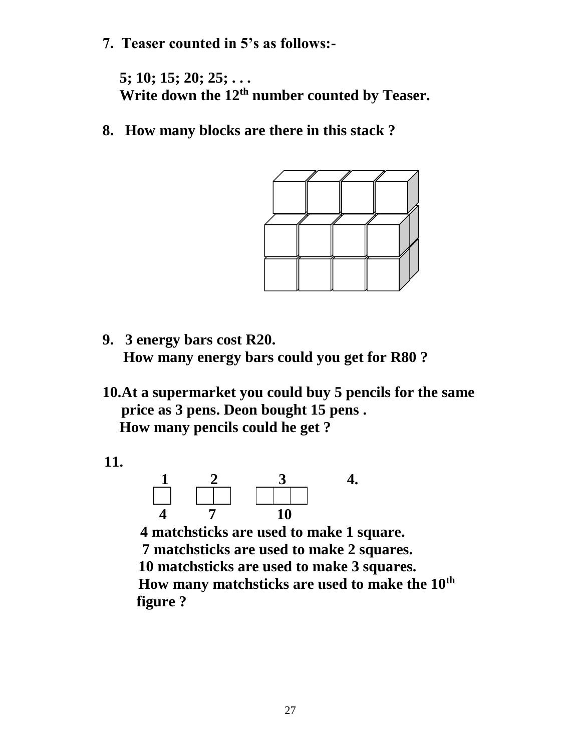**7. Teaser counted in 5's as follows:-**

**5; 10; 15; 20; 25; . . . Write down the 12th number counted by Teaser.**

**8. How many blocks are there in this stack ?**



- **9. 3 energy bars cost R20. How many energy bars could you get for R80 ?**
- **10.At a supermarket you could buy 5 pencils for the same price as 3 pens. Deon bought 15 pens . How many pencils could he get ?**

 **11.**



 **4 matchsticks are used to make 1 square. 7 matchsticks are used to make 2 squares. 10 matchsticks are used to make 3 squares. How many matchsticks are used to make the 10th figure ?**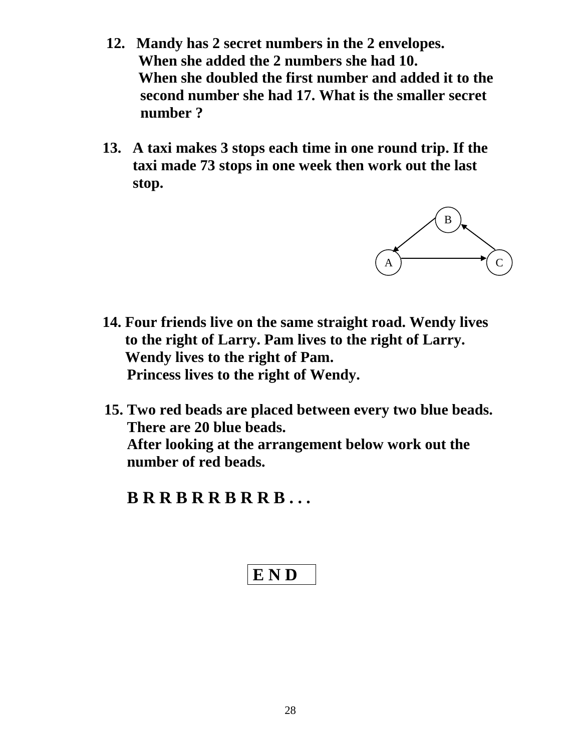- **12. Mandy has 2 secret numbers in the 2 envelopes. When she added the 2 numbers she had 10. When she doubled the first number and added it to the second number she had 17. What is the smaller secret number ?**
- **13. A taxi makes 3 stops each time in one round trip. If the taxi made 73 stops in one week then work out the last stop.**



- **14. Four friends live on the same straight road. Wendy lives to the right of Larry. Pam lives to the right of Larry. Wendy lives to the right of Pam. Princess lives to the right of Wendy.**
- **15. Two red beads are placed between every two blue beads. There are 20 blue beads. After looking at the arrangement below work out the number of red beads.**

 **B R R B R R B R R B . . .**

$$
\boxed{\mathbf{E} \, \mathbf{N} \, \mathbf{D}}
$$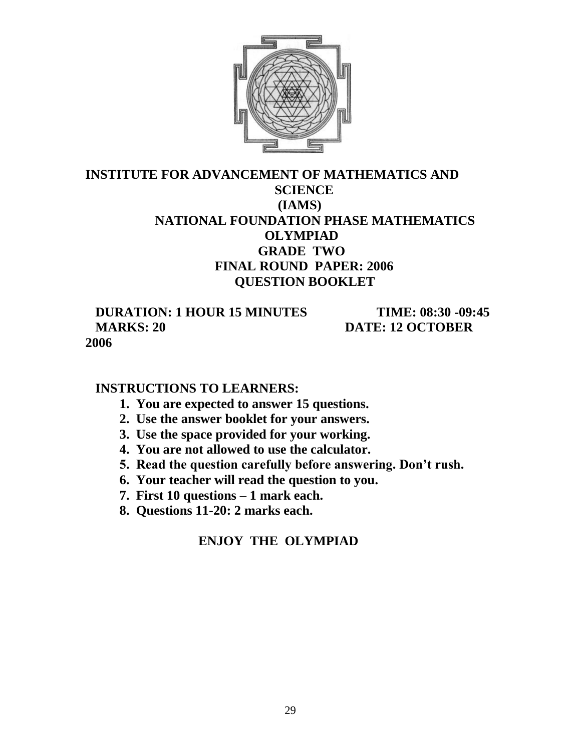

## **INSTITUTE FOR ADVANCEMENT OF MATHEMATICS AND SCIENCE (IAMS) NATIONAL FOUNDATION PHASE MATHEMATICS OLYMPIAD GRADE TWO FINAL ROUND PAPER: 2006 QUESTION BOOKLET**

 **DURATION: 1 HOUR 15 MINUTES TIME: 08:30 -09:45 MARKS: 20 DATE: 12 OCTOBER 2006**

## **INSTRUCTIONS TO LEARNERS:**

- **1. You are expected to answer 15 questions.**
- **2. Use the answer booklet for your answers.**
- **3. Use the space provided for your working.**
- **4. You are not allowed to use the calculator.**
- **5. Read the question carefully before answering. Don't rush.**
- **6. Your teacher will read the question to you.**
- **7. First 10 questions – 1 mark each.**
- **8. Questions 11-20: 2 marks each.**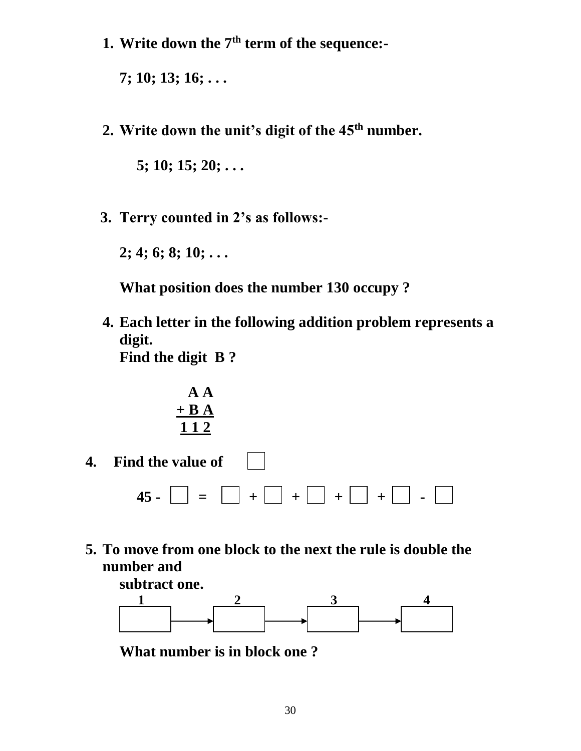**1. Write down the 7th term of the sequence:-**

**7; 10; 13; 16; . . .**

**2. Write down the unit's digit of the 45th number.**

**5; 10; 15; 20; . . .** 

 **3. Terry counted in 2's as follows:-**

**2; 4; 6; 8; 10; . . .**

 **What position does the number 130 occupy ?** 

**4. Each letter in the following addition problem represents a digit. Find the digit B ?**

$$
\begin{array}{c}\n \text{A} \text{A} \\
+ \text{B} \text{A} \\
\hline\n 112\n \end{array}
$$

- **4. Find the value of 45 - = + + + + -**
- **5. To move from one block to the next the rule is double the number and**



**What number is in block one ?**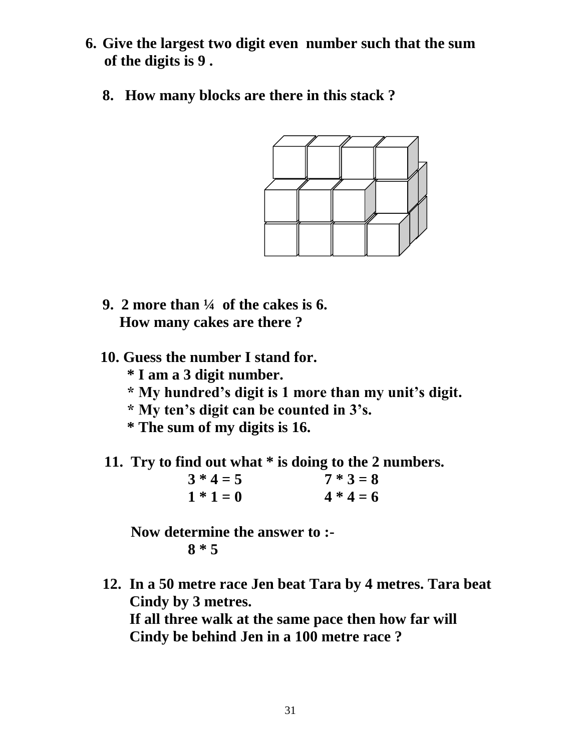- **6. Give the largest two digit even number such that the sum of the digits is 9 .**
	- **8. How many blocks are there in this stack ?**



- **9. 2 more than ¼ of the cakes is 6. How many cakes are there ?**
- **10. Guess the number I stand for.**
	- **\* I am a 3 digit number.**
	- **\* My hundred's digit is 1 more than my unit's digit.**
	- **\* My ten's digit can be counted in 3's.**
	- **\* The sum of my digits is 16.**
- **11. Try to find out what \* is doing to the 2 numbers.**

| $3 * 4 = 5$ | $7 * 3 = 8$ |
|-------------|-------------|
| $1 * 1 = 0$ | $4 * 4 = 6$ |

 **Now determine the answer to :- 8 \* 5**

**12. In a 50 metre race Jen beat Tara by 4 metres. Tara beat Cindy by 3 metres.** 

**If all three walk at the same pace then how far will Cindy be behind Jen in a 100 metre race ?**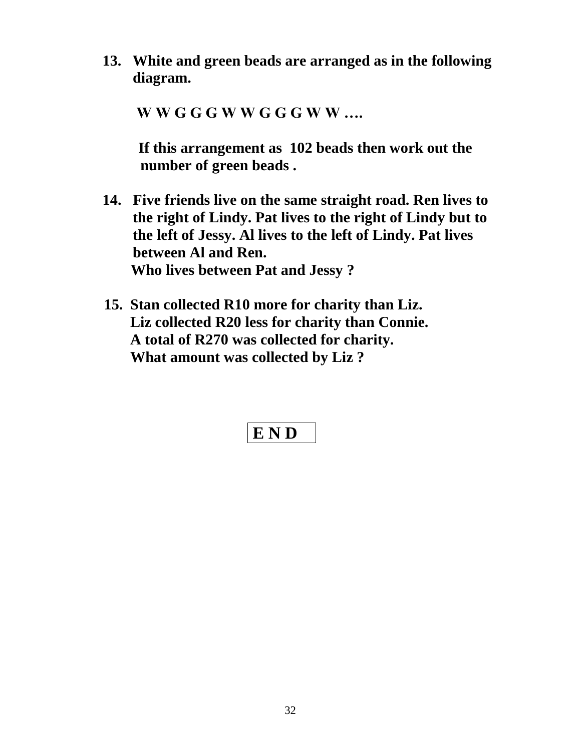**13. White and green beads are arranged as in the following diagram.**

 **W W G G G W W G G G W W ….**

 **If this arrangement as 102 beads then work out the number of green beads .**

- **14. Five friends live on the same straight road. Ren lives to the right of Lindy. Pat lives to the right of Lindy but to the left of Jessy. Al lives to the left of Lindy. Pat lives between Al and Ren. Who lives between Pat and Jessy ?**
- **15. Stan collected R10 more for charity than Liz. Liz collected R20 less for charity than Connie. A total of R270 was collected for charity. What amount was collected by Liz ?**

# **E N D**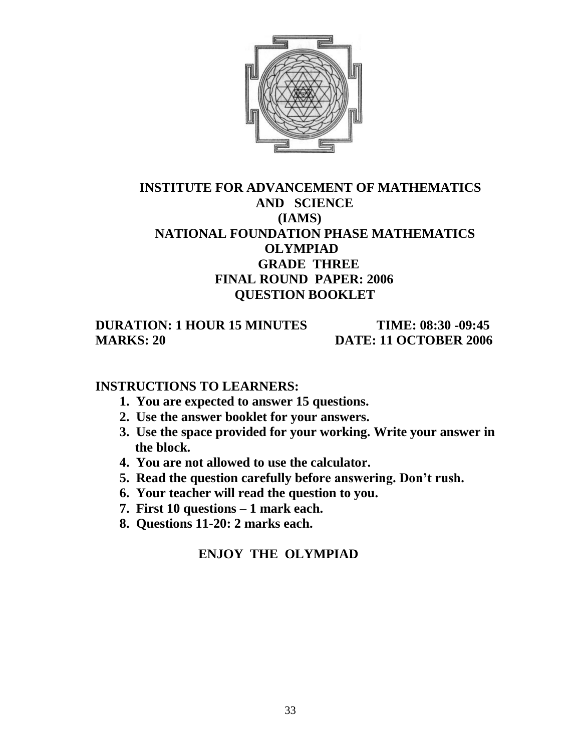

## **INSTITUTE FOR ADVANCEMENT OF MATHEMATICS AND SCIENCE (IAMS) NATIONAL FOUNDATION PHASE MATHEMATICS OLYMPIAD GRADE THREE FINAL ROUND PAPER: 2006 QUESTION BOOKLET**

 **DURATION: 1 HOUR 15 MINUTES TIME: 08:30 -09:45 MARKS: 20 DATE: 11 OCTOBER 2006** 

#### **INSTRUCTIONS TO LEARNERS:**

- **1. You are expected to answer 15 questions.**
- **2. Use the answer booklet for your answers.**
- **3. Use the space provided for your working. Write your answer in the block.**
- **4. You are not allowed to use the calculator.**
- **5. Read the question carefully before answering. Don't rush.**
- **6. Your teacher will read the question to you.**
- **7. First 10 questions – 1 mark each.**
- **8. Questions 11-20: 2 marks each.**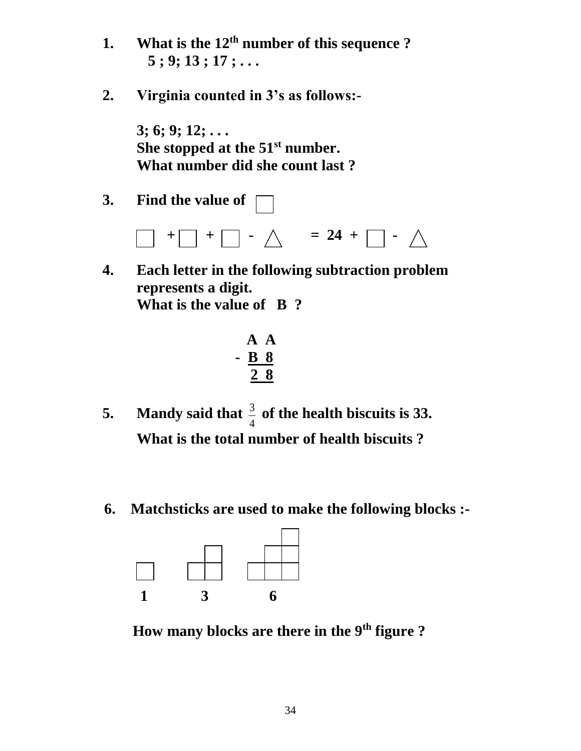- **1. What is the 12th number of this sequence ? 5 ; 9; 13 ; 17 ; . . .**
- **2. Virginia counted in 3's as follows:-**

**3; 6; 9; 12; . . . She stopped at the 51st number. What number did she count last ?**

**3. Find the value of** 



**4. Each letter in the following subtraction problem represents a digit. What is the value of B ?**

$$
\begin{array}{c}\n \text{A} \\
\text{B} \\
\text{C} \\
\hline\n \text{A}\n \end{array}
$$

- **5. Mandy said that**  $\frac{3}{4}$  $\frac{3}{4}$  of the health biscuits is 33. **What is the total number of health biscuits ?**
- **6. Matchsticks are used to make the following blocks :-**



 **How many blocks are there in the 9th figure ?**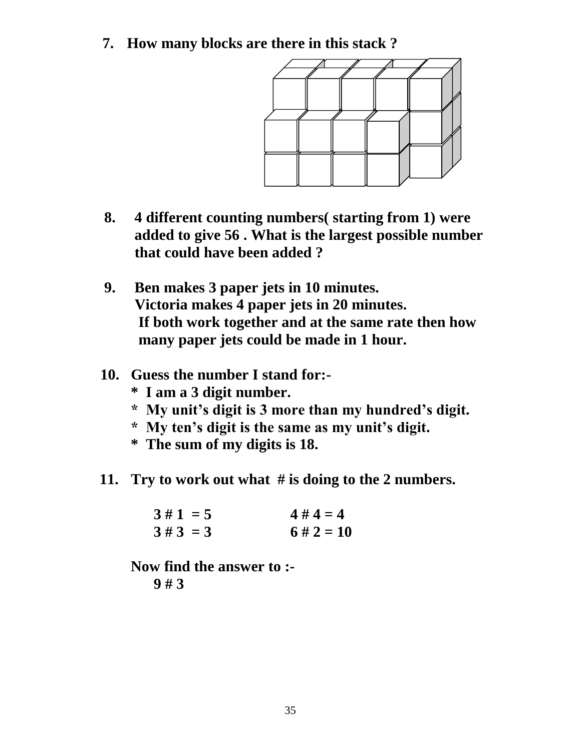**7. How many blocks are there in this stack ?** 



- **8. 4 different counting numbers( starting from 1) were added to give 56 . What is the largest possible number that could have been added ?**
- **9. Ben makes 3 paper jets in 10 minutes. Victoria makes 4 paper jets in 20 minutes. If both work together and at the same rate then how many paper jets could be made in 1 hour.**
- **10. Guess the number I stand for:-**
	- **\* I am a 3 digit number.**
	- **\* My unit's digit is 3 more than my hundred's digit.**
	- **\* My ten's digit is the same as my unit's digit.**
	- **\* The sum of my digits is 18.**
- **11. Try to work out what # is doing to the 2 numbers.**

| $3 \# 1 = 5$ | $4 \# 4 = 4$  |
|--------------|---------------|
| $3#3 = 3$    | $6 \# 2 = 10$ |

 **Now find the answer to :- 9 # 3**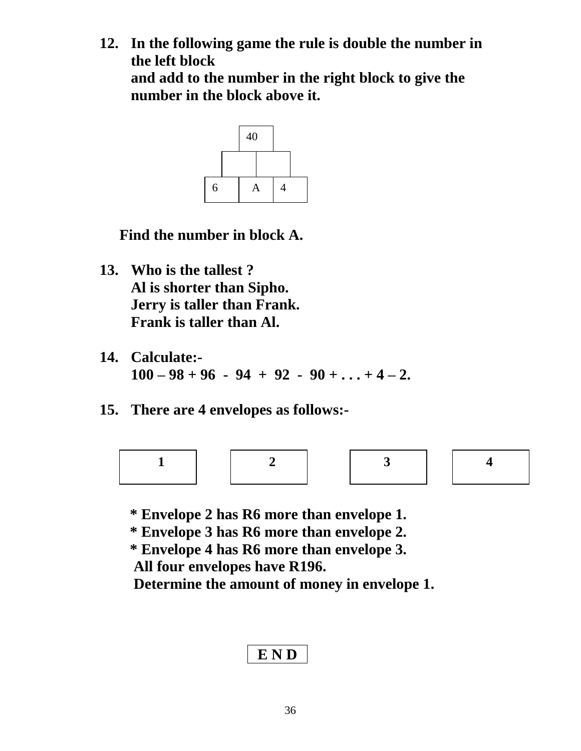**12. In the following game the rule is double the number in the left block and add to the number in the right block to give the number in the block above it.**



**Find the number in block A.**

- **13. Who is the tallest ? Al is shorter than Sipho. Jerry is taller than Frank. Frank is taller than Al.**
- **14. Calculate:-**  $100 - 98 + 96 - 94 + 92 - 90 + ... + 4 - 2$ .
- **15. There are 4 envelopes as follows:-**



 **\* Envelope 2 has R6 more than envelope 1.**

 **\* Envelope 3 has R6 more than envelope 2.**

 **\* Envelope 4 has R6 more than envelope 3. All four envelopes have R196.**

 **Determine the amount of money in envelope 1.**

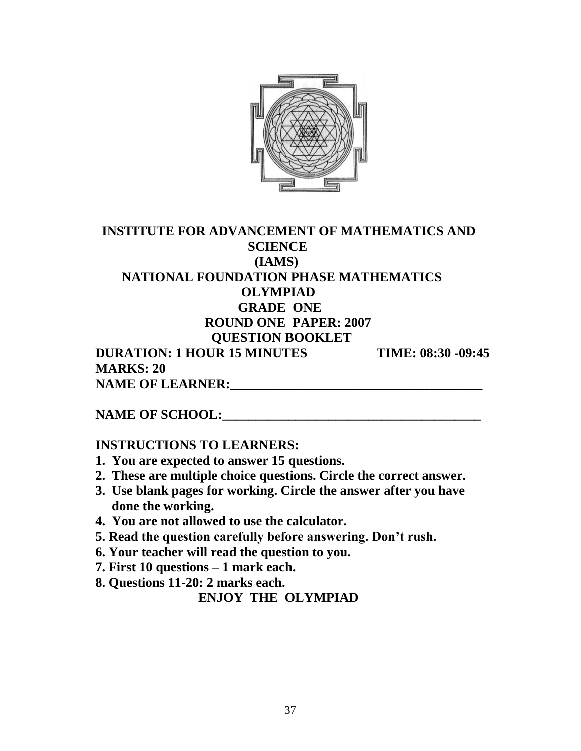

## **INSTITUTE FOR ADVANCEMENT OF MATHEMATICS AND SCIENCE (IAMS) NATIONAL FOUNDATION PHASE MATHEMATICS OLYMPIAD GRADE ONE ROUND ONE PAPER: 2007 QUESTION BOOKLET DURATION: 1 HOUR 15 MINUTES TIME: 08:30 -09:45 MARKS: 20** NAME OF LEARNER:

#### **NAME OF SCHOOL:**

#### **INSTRUCTIONS TO LEARNERS:**

- **1. You are expected to answer 15 questions.**
- **2. These are multiple choice questions. Circle the correct answer.**
- **3. Use blank pages for working. Circle the answer after you have done the working.**
- **4. You are not allowed to use the calculator.**
- **5. Read the question carefully before answering. Don't rush.**
- **6. Your teacher will read the question to you.**
- **7. First 10 questions – 1 mark each.**
- **8. Questions 11-20: 2 marks each.**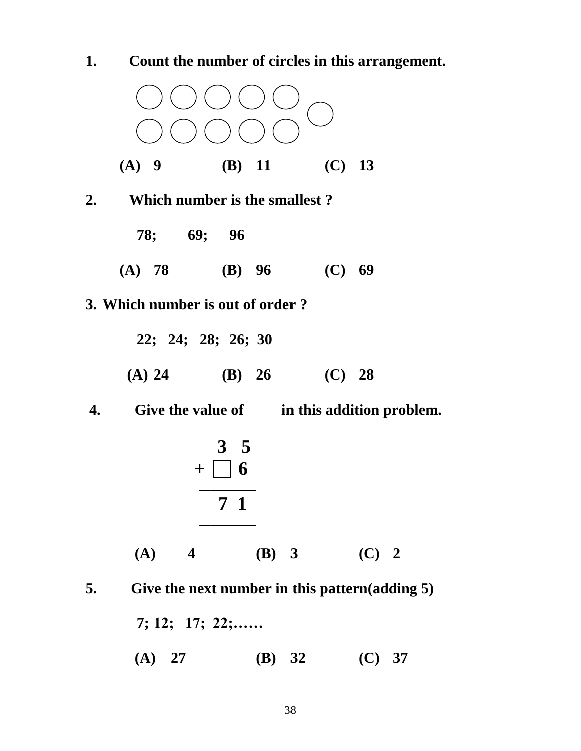

 **(A) 27 (B) 32 (C) 37**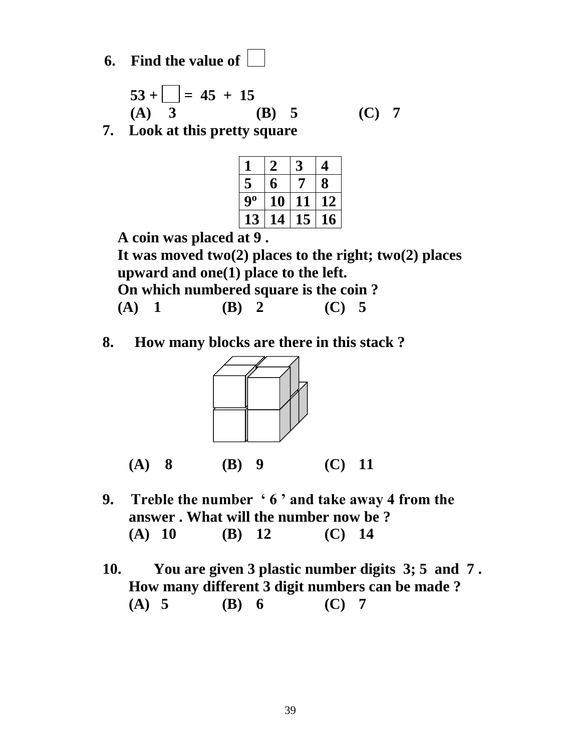**6. Find the value of** 

$$
53 + \boxed{ } = 45 + 15
$$
  
(A) 3 (B) 5 (C) 7

**7. Look at this pretty square**

| H  | 2             |    | 4  |
|----|---------------|----|----|
| 5  | 6             |    | 8  |
| 90 | 10            | 11 | 12 |
| 13 | $\mathbf{14}$ | 15 | 16 |
|    |               |    |    |

 **A coin was placed at 9 .**

 **It was moved two(2) places to the right; two(2) places upward and one(1) place to the left.**

 **On which numbered square is the coin ?**

 **(A) 1 (B) 2 (C) 5**

**8. How many blocks are there in this stack ?**



- **9. Treble the number ' 6 ' and take away 4 from the answer . What will the number now be ? (A) 10 (B) 12 (C) 14**
- **10. You are given 3 plastic number digits 3; 5 and 7 . How many different 3 digit numbers can be made ? (A) 5 (B) 6 (C) 7**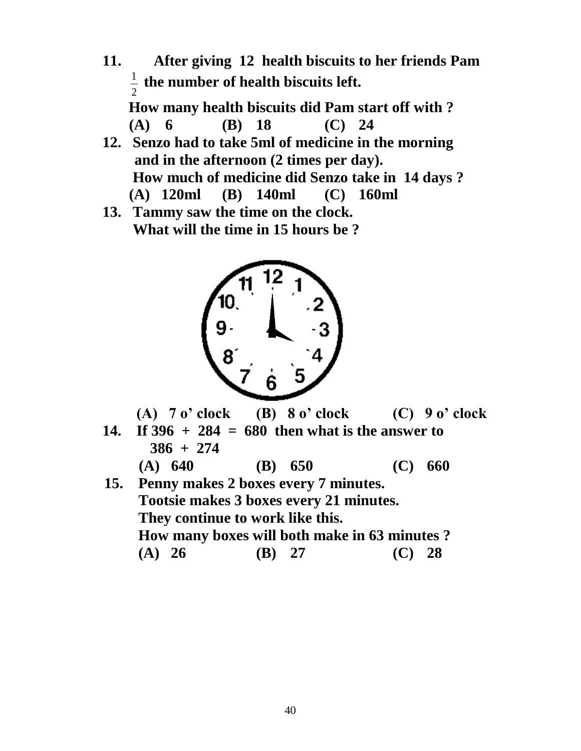**11. After giving 12 health biscuits to her friends Pam** 2  $\frac{1}{2}$  the number of health biscuits left.

**How many health biscuits did Pam start off with ? (A) 6 (B) 18 (C) 24**

- **12. Senzo had to take 5ml of medicine in the morning and in the afternoon (2 times per day). How much of medicine did Senzo take in 14 days ? (A) 120ml (B) 140ml (C) 160ml**
- **13. Tammy saw the time on the clock. What will the time in 15 hours be ?**



 **(A) 7 o' clock (B) 8 o' clock (C) 9 o' clock**

**14. If 396 + 284 = 680 then what is the answer to 386 + 274**

**(A) 640 (B) 650 (C) 660** 

 **15. Penny makes 2 boxes every 7 minutes. Tootsie makes 3 boxes every 21 minutes. They continue to work like this. How many boxes will both make in 63 minutes ? (A) 26 (B) 27 (C) 28**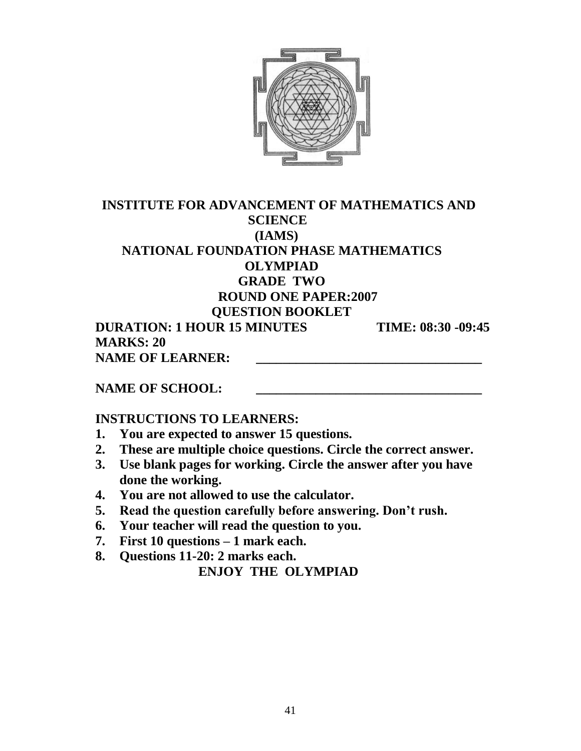

## **INSTITUTE FOR ADVANCEMENT OF MATHEMATICS AND SCIENCE (IAMS) NATIONAL FOUNDATION PHASE MATHEMATICS OLYMPIAD GRADE TWO ROUND ONE PAPER:2007 QUESTION BOOKLET DURATION: 1 HOUR 15 MINUTES TIME: 08:30 -09:45**

 **MARKS: 20** NAME OF LEARNER:

NAME OF SCHOOL:

#### **INSTRUCTIONS TO LEARNERS:**

- **1. You are expected to answer 15 questions.**
- **2. These are multiple choice questions. Circle the correct answer.**
- **3. Use blank pages for working. Circle the answer after you have done the working.**
- **4. You are not allowed to use the calculator.**
- **5. Read the question carefully before answering. Don't rush.**
- **6. Your teacher will read the question to you.**
- **7. First 10 questions – 1 mark each.**
- **8. Questions 11-20: 2 marks each.**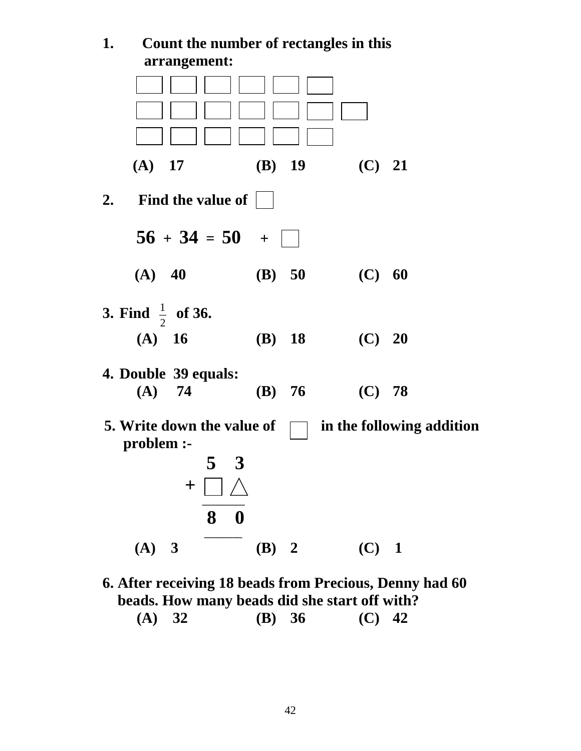**1. Count the number of rectangles in this arrangement: (A) 17 (B) 19 (C) 21 2. Find the value of**   $56 + 34 = 50 +$  **(A) 40 (B) 50 (C) 60 3. Find**  2  $\frac{1}{2}$  of 36. **(A) 16 (B) 18 (C) 20 4. Double 39 equals: (A) 74 (B) 76 (C) 78 5.** Write down the value of  $\Box$  in the following addition  **problem :- 5 3 + \_\_\_\_\_\_\_\_\_ 8 0 \_\_\_\_\_\_\_\_ (A) 3 (B) 2 (C) 1**

**6. After receiving 18 beads from Precious, Denny had 60 beads. How many beads did she start off with?**

| (A) 32 | (B) $36$ | $(C)$ 42 |
|--------|----------|----------|
|        |          |          |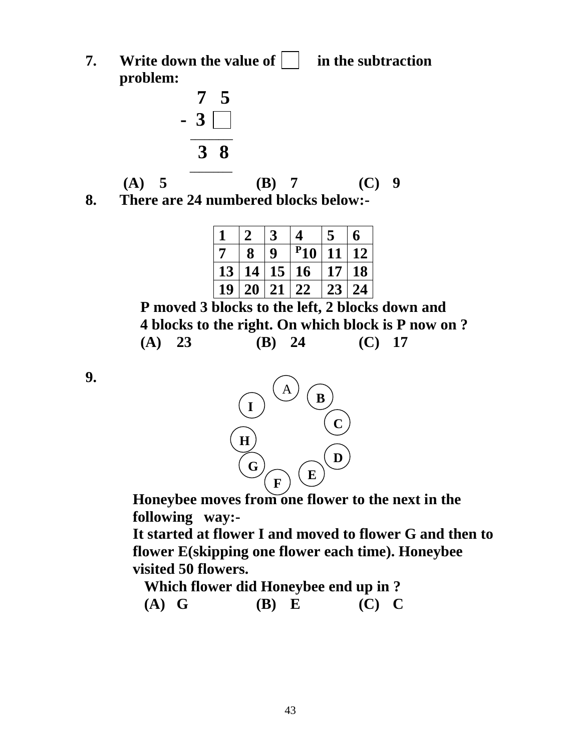**7. Write down the value of**  in the subtraction **problem:**

$$
\begin{array}{r} 7\phantom{0}5 \\ -3\phantom{0} \\ \hline 3\phantom{0}8 \end{array}
$$

 **(A) 5 (B) 7 (C) 9**

$$
(C) 9
$$

**8. There are 24 numbered blocks below:-**

|                |    | 3  | 4        | 5  | 6         |
|----------------|----|----|----------|----|-----------|
| $\overline{7}$ | 8  | 9  | $P_{10}$ | 11 | <b>12</b> |
| 13             | 14 |    | 15 16    | 17 | <b>18</b> |
| 19             | 20 | 21 | 22       | 23 | 24        |

 **P moved 3 blocks to the left, 2 blocks down and 4 blocks to the right. On which block is P now on ? (A) 23 (B) 24 (C) 17**

**9.** 



 **Honeybee moves from one flower to the next in the following way:-** 

 **It started at flower I and moved to flower G and then to flower E(skipping one flower each time). Honeybee visited 50 flowers.** 

 **Which flower did Honeybee end up in ? (A) G (B) E (C) C**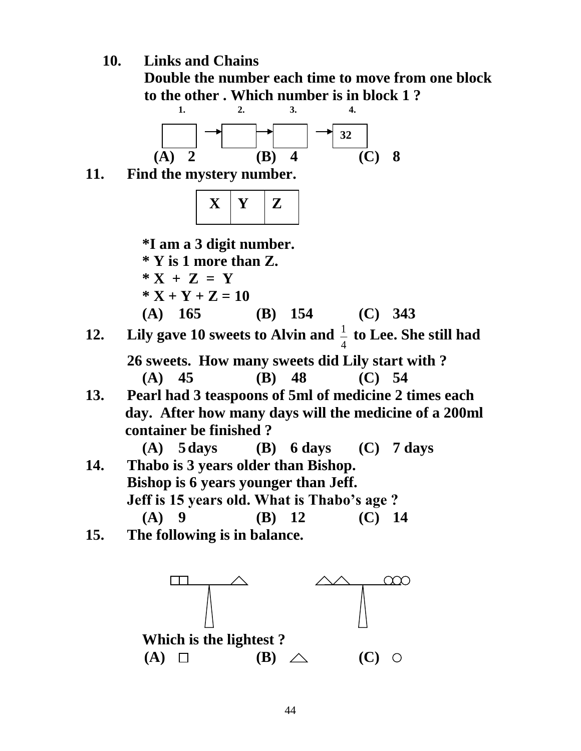**10. Links and Chains**

 **Double the number each time to move from one block**  to the other . Which number is in block  $1$  ?



 **26 sweets. How many sweets did Lily start with ? (A) 45 (B) 48 (C) 54** 

**13. Pearl had 3 teaspoons of 5ml of medicine 2 times each day. After how many days will the medicine of a 200ml container be finished ?**

 **(A) 5days (B) 6 days (C) 7 days 14. Thabo is 3 years older than Bishop. Bishop is 6 years younger than Jeff. Jeff is 15 years old. What is Thabo's age ? (A) 9 (B) 12 (C) 14** 

**15. The following is in balance.**

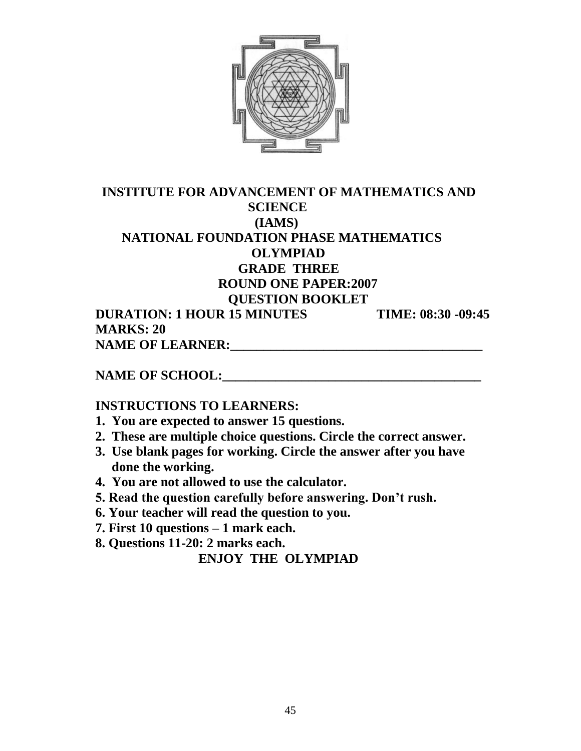

### **INSTITUTE FOR ADVANCEMENT OF MATHEMATICS AND SCIENCE (IAMS) NATIONAL FOUNDATION PHASE MATHEMATICS OLYMPIAD GRADE THREE ROUND ONE PAPER:2007 QUESTION BOOKLET DURATION: 1 HOUR 15 MINUTES TIME: 08:30 -09:45 MARKS: 20**

 **NAME OF LEARNER:\_\_\_\_\_\_\_\_\_\_\_\_\_\_\_\_\_\_\_\_\_\_\_\_\_\_\_\_\_\_\_\_\_\_\_\_\_\_** 

**NAME OF SCHOOL:** 

## **INSTRUCTIONS TO LEARNERS:**

- **1. You are expected to answer 15 questions.**
- **2. These are multiple choice questions. Circle the correct answer.**
- **3. Use blank pages for working. Circle the answer after you have done the working.**
- **4. You are not allowed to use the calculator.**
- **5. Read the question carefully before answering. Don't rush.**
- **6. Your teacher will read the question to you.**
- **7. First 10 questions – 1 mark each.**
- **8. Questions 11-20: 2 marks each.**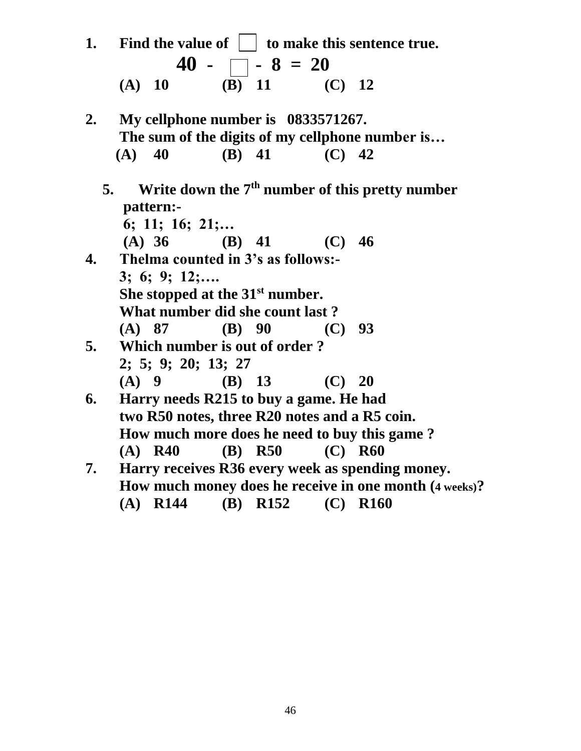| 1.            | Find the value of $\ \cdot\ $ to make this sentence true.                                                  |                                                           |                                                   |  |  |  |  |  |
|---------------|------------------------------------------------------------------------------------------------------------|-----------------------------------------------------------|---------------------------------------------------|--|--|--|--|--|
|               |                                                                                                            | $40 - \Box - 8 = 20$                                      |                                                   |  |  |  |  |  |
|               | $(A)$ 10                                                                                                   | $\overline{(\mathbf{B})}$ 11 $\overline{(\mathbf{C})}$ 12 |                                                   |  |  |  |  |  |
| $2_{\bullet}$ | My cellphone number is 0833571267.                                                                         |                                                           |                                                   |  |  |  |  |  |
|               | The sum of the digits of my cellphone number is                                                            |                                                           |                                                   |  |  |  |  |  |
|               | $(A)$ 40                                                                                                   | (B) 41 (C) 42                                             |                                                   |  |  |  |  |  |
| 5.            | pattern:-                                                                                                  |                                                           | Write down the $7th$ number of this pretty number |  |  |  |  |  |
|               | 6; 11; 16; 21;                                                                                             |                                                           |                                                   |  |  |  |  |  |
|               |                                                                                                            | (A) 36 (B) 41 (C) 46                                      |                                                   |  |  |  |  |  |
| 4.            | Thelma counted in 3's as follows:-                                                                         |                                                           |                                                   |  |  |  |  |  |
|               | $3; 6; 9; 12; \ldots$                                                                                      |                                                           |                                                   |  |  |  |  |  |
|               | She stopped at the 31 <sup>st</sup> number.                                                                |                                                           |                                                   |  |  |  |  |  |
|               | What number did she count last?                                                                            |                                                           |                                                   |  |  |  |  |  |
|               | $(A)$ 87                                                                                                   | (B) 90                                                    | (C) 93                                            |  |  |  |  |  |
| 5.            |                                                                                                            | Which number is out of order?                             |                                                   |  |  |  |  |  |
|               | 2; 5; 9; 20; 13; 27                                                                                        |                                                           |                                                   |  |  |  |  |  |
|               |                                                                                                            | (A) 9 	 (B) 13 	 (C) 20                                   |                                                   |  |  |  |  |  |
| 6.            |                                                                                                            | Harry needs R215 to buy a game. He had                    |                                                   |  |  |  |  |  |
|               |                                                                                                            |                                                           |                                                   |  |  |  |  |  |
|               | two R50 notes, three R20 notes and a R5 coin.<br>How much more does he need to buy this game?              |                                                           |                                                   |  |  |  |  |  |
|               | $(A)$ R40                                                                                                  |                                                           | (B) R50 (C) R60                                   |  |  |  |  |  |
|               |                                                                                                            |                                                           |                                                   |  |  |  |  |  |
| 7.            | Harry receives R36 every week as spending money.<br>How much money does he receive in one month (4 weeks)? |                                                           |                                                   |  |  |  |  |  |
|               |                                                                                                            |                                                           |                                                   |  |  |  |  |  |
|               | $(A)$ R144                                                                                                 |                                                           | (B) R152 (C) R160                                 |  |  |  |  |  |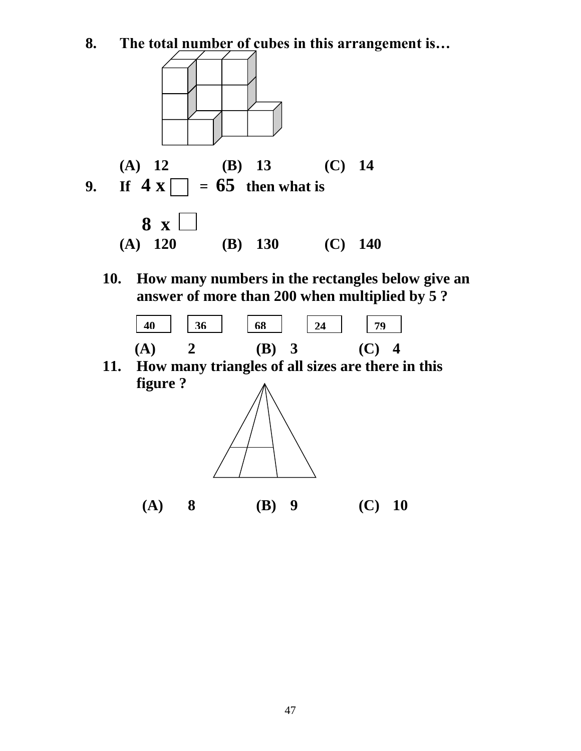**8. The total number of cubes in this arrangement is…**



**10. How many numbers in the rectangles below give an answer of more than 200 when multiplied by 5 ?** 



**11. How many triangles of all sizes are there in this figure ?**



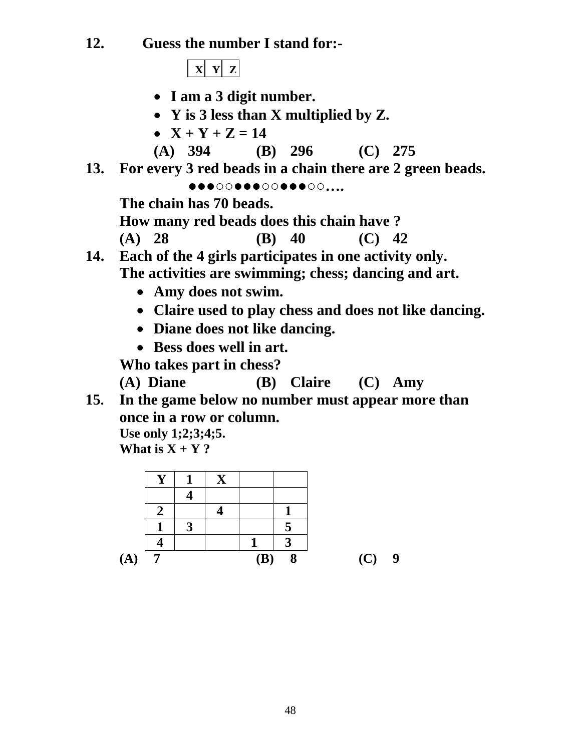**12. Guess the number I stand for:-**

 $\mathbf{X} \mathbf{Y} \mathbf{Z}$ 

- **I am a 3 digit number.**
- **Y is 3 less than X multiplied by Z.**
- $X + Y + Z = 14$
- **(A) 394 (B) 296 (C) 275**
- **13. For every 3 red beads in a chain there are 2 green beads.**

**●●●○○●●●○○●●●○○….**

**The chain has 70 beads.**

**How many red beads does this chain have ?**

**(A) 28 (B) 40 (C) 42**

- **14. Each of the 4 girls participates in one activity only. The activities are swimming; chess; dancing and art.**
	- **Amy does not swim.**
	- **Claire used to play chess and does not like dancing.**
	- **Diane does not like dancing.**
	- **Bess does well in art.**

 **Who takes part in chess?**

**(A) Diane (B) Claire (C) Amy**

**15. In the game below no number must appear more than once in a row or column. Use only 1;2;3;4;5.**

**What is**  $X + Y$ **?** 

|             | σ |     |   |     |   |
|-------------|---|-----|---|-----|---|
|             |   |     |   |     |   |
| $({\bf A})$ |   | (B) | 8 | (C) | 9 |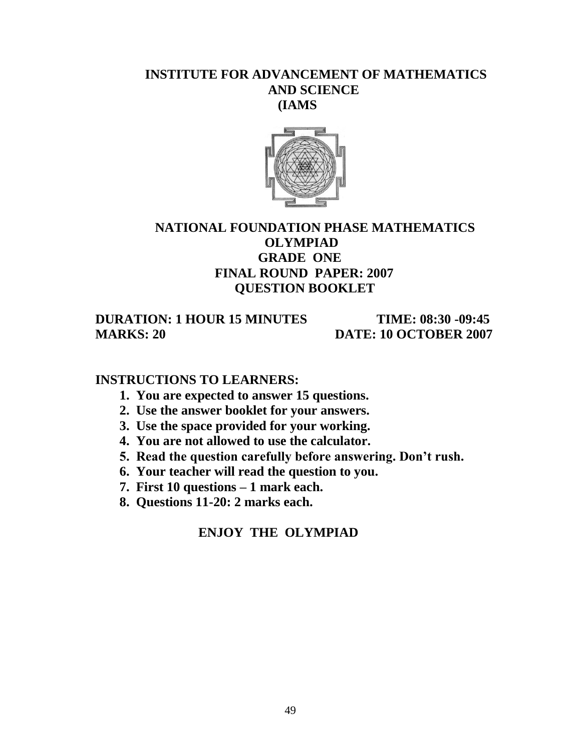#### **INSTITUTE FOR ADVANCEMENT OF MATHEMATICS AND SCIENCE (IAMS**



## **NATIONAL FOUNDATION PHASE MATHEMATICS OLYMPIAD GRADE ONE FINAL ROUND PAPER: 2007 QUESTION BOOKLET**

 **DURATION: 1 HOUR 15 MINUTES TIME: 08:30 -09:45 MARKS: 20 DATE: 10 OCTOBER 2007** 

#### **INSTRUCTIONS TO LEARNERS:**

- **1. You are expected to answer 15 questions.**
- **2. Use the answer booklet for your answers.**
- **3. Use the space provided for your working.**
- **4. You are not allowed to use the calculator.**
- **5. Read the question carefully before answering. Don't rush.**
- **6. Your teacher will read the question to you.**
- **7. First 10 questions – 1 mark each.**
- **8. Questions 11-20: 2 marks each.**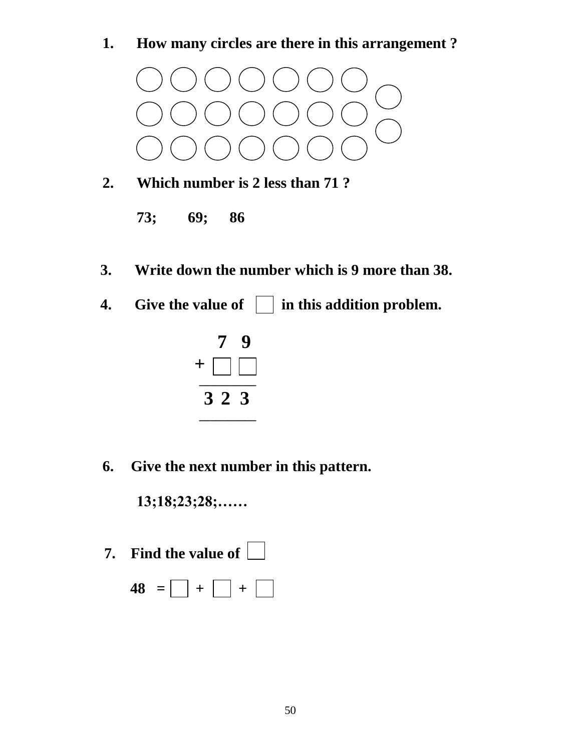**1. How many circles are there in this arrangement ?**



- **2. Which number is 2 less than 71 ?** 
	- **73; 69; 86**
- **3. Write down the number which is 9 more than 38.**
- **4.** Give the value of  $\Box$  in this addition problem.



**6. Give the next number in this pattern.**

**13;18;23;28;……**

- **7. Find the value of** 
	- $48 = |$   $| + |$   $| + |$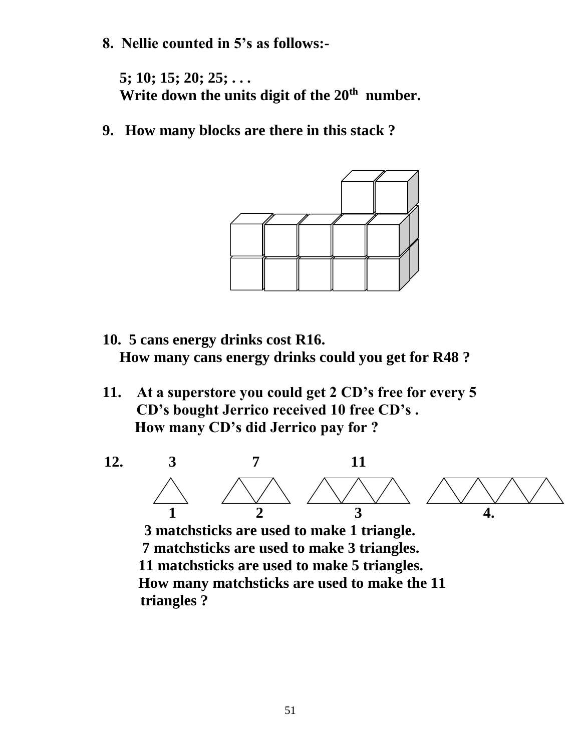**8. Nellie counted in 5's as follows:-**

**5; 10; 15; 20; 25; . . . Write down the units digit of the 20th number.**

**9. How many blocks are there in this stack ?**



- **10. 5 cans energy drinks cost R16. How many cans energy drinks could you get for R48 ?**
- **11. At a superstore you could get 2 CD's free for every 5 CD's bought Jerrico received 10 free CD's . How many CD's did Jerrico pay for ?**



 **3 matchsticks are used to make 1 triangle. 7 matchsticks are used to make 3 triangles. 11 matchsticks are used to make 5 triangles. How many matchsticks are used to make the 11 triangles ?**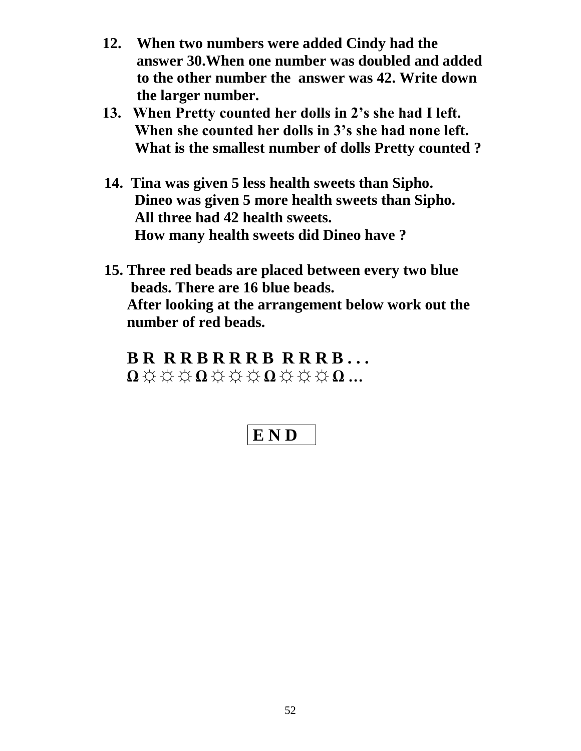- **12. When two numbers were added Cindy had the answer 30.When one number was doubled and added to the other number the answer was 42. Write down the larger number.**
- **13. When Pretty counted her dolls in 2's she had I left. When she counted her dolls in 3's she had none left. What is the smallest number of dolls Pretty counted ?**
- **14. Tina was given 5 less health sweets than Sipho. Dineo was given 5 more health sweets than Sipho. All three had 42 health sweets. How many health sweets did Dineo have ?**
- **15. Three red beads are placed between every two blue beads. There are 16 blue beads. After looking at the arrangement below work out the number of red beads.**

 **B R R R B R R R B R R R B . . . Ω ☼ ☼ ☼ Ω ☼ ☼ ☼ Ω ☼ ☼ ☼ Ω …**

# **E N D**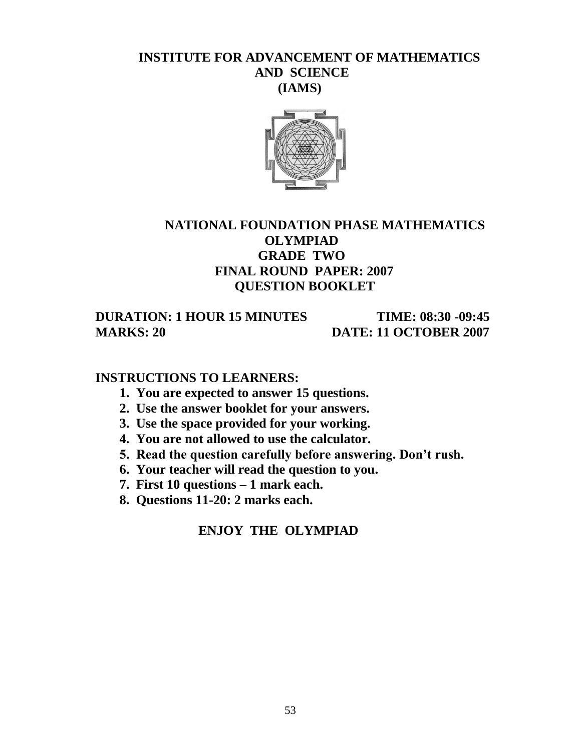#### **INSTITUTE FOR ADVANCEMENT OF MATHEMATICS AND SCIENCE (IAMS)**



## **NATIONAL FOUNDATION PHASE MATHEMATICS OLYMPIAD GRADE TWO FINAL ROUND PAPER: 2007 QUESTION BOOKLET**

 **DURATION: 1 HOUR 15 MINUTES TIME: 08:30 -09:45 MARKS: 20 DATE: 11 OCTOBER 2007** 

#### **INSTRUCTIONS TO LEARNERS:**

- **1. You are expected to answer 15 questions.**
- **2. Use the answer booklet for your answers.**
- **3. Use the space provided for your working.**
- **4. You are not allowed to use the calculator.**
- **5. Read the question carefully before answering. Don't rush.**
- **6. Your teacher will read the question to you.**
- **7. First 10 questions – 1 mark each.**
- **8. Questions 11-20: 2 marks each.**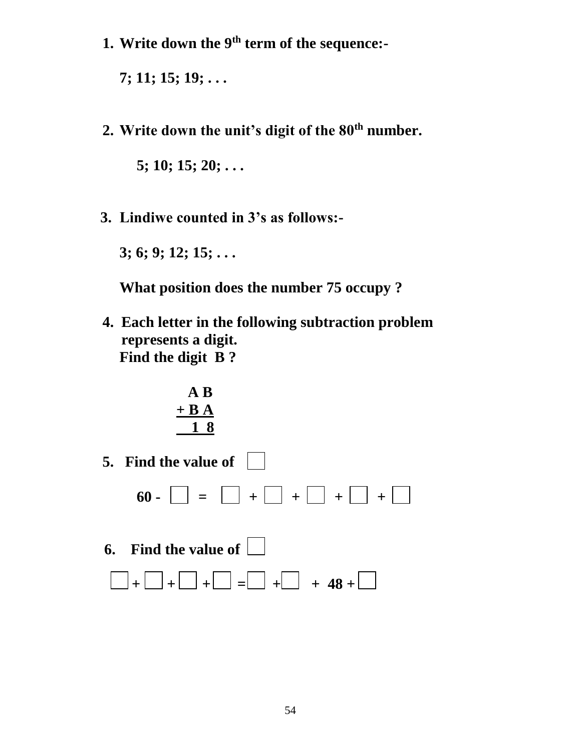**1. Write down the 9th term of the sequence:-**

**7; 11; 15; 19; . . .**

**2. Write down the unit's digit of the 80th number.**

**5; 10; 15; 20; . . .** 

 **3. Lindiwe counted in 3's as follows:-**

**3; 6; 9; 12; 15; . . .**

 **What position does the number 75 occupy ?** 

**4. Each letter in the following subtraction problem represents a digit. Find the digit B ?**

$$
\begin{array}{c}\n \text{A B} \\
+ \text{B A} \\
\hline\n 1 8\n \end{array}
$$

**5. Find the value of**   $\bullet$ 0 -  $\Box$  =  $\Box$  +  $\Box$  +  $\Box$  +  $\Box$  +  $\Box$  **6. Find the value of** 

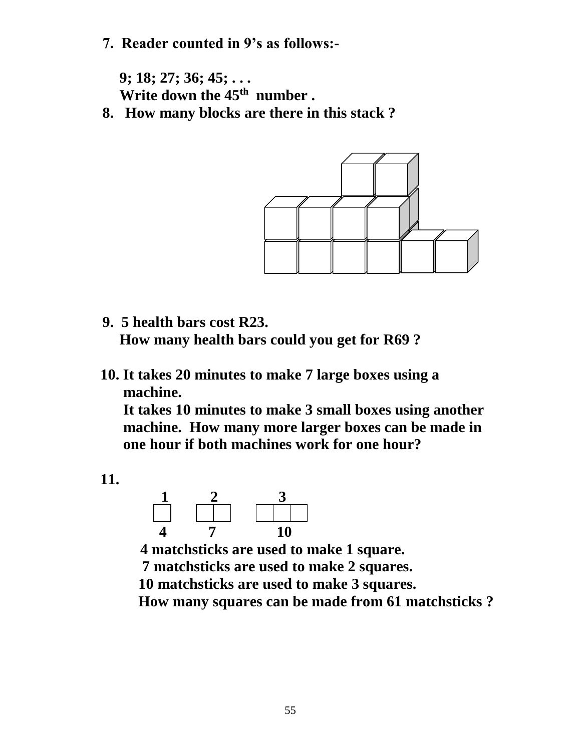**7. Reader counted in 9's as follows:-**

**9; 18; 27; 36; 45; . . . Write down the 45th number .** 

**8. How many blocks are there in this stack ?**



- **9. 5 health bars cost R23. How many health bars could you get for R69 ?**
- **10. It takes 20 minutes to make 7 large boxes using a machine.**

**It takes 10 minutes to make 3 small boxes using another machine. How many more larger boxes can be made in one hour if both machines work for one hour?**

 **11.**



 **4 matchsticks are used to make 1 square. 7 matchsticks are used to make 2 squares. 10 matchsticks are used to make 3 squares.**

 **How many squares can be made from 61 matchsticks ?**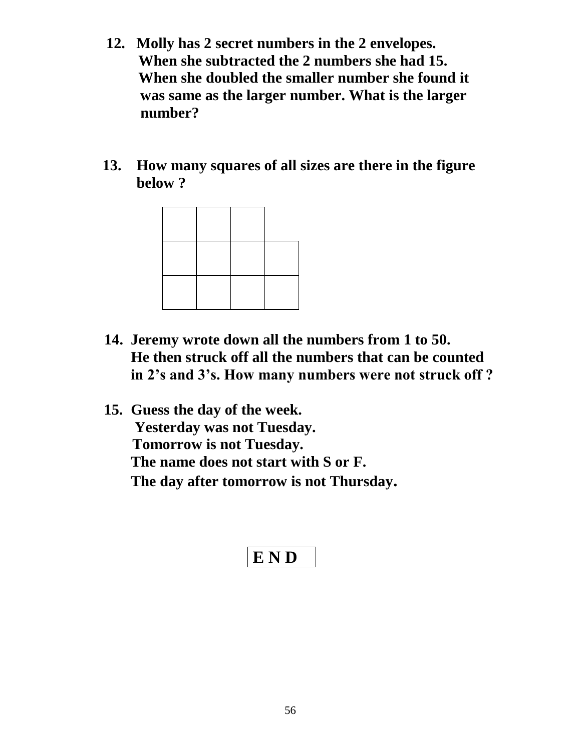- **12. Molly has 2 secret numbers in the 2 envelopes. When she subtracted the 2 numbers she had 15. When she doubled the smaller number she found it was same as the larger number. What is the larger number?**
- **13. How many squares of all sizes are there in the figure below ?**



- **14. Jeremy wrote down all the numbers from 1 to 50. He then struck off all the numbers that can be counted in 2's and 3's. How many numbers were not struck off ?**
- **15. Guess the day of the week. Yesterday was not Tuesday. Tomorrow is not Tuesday. The name does not start with S or F. The day after tomorrow is not Thursday.**

$$
E\ N\ D
$$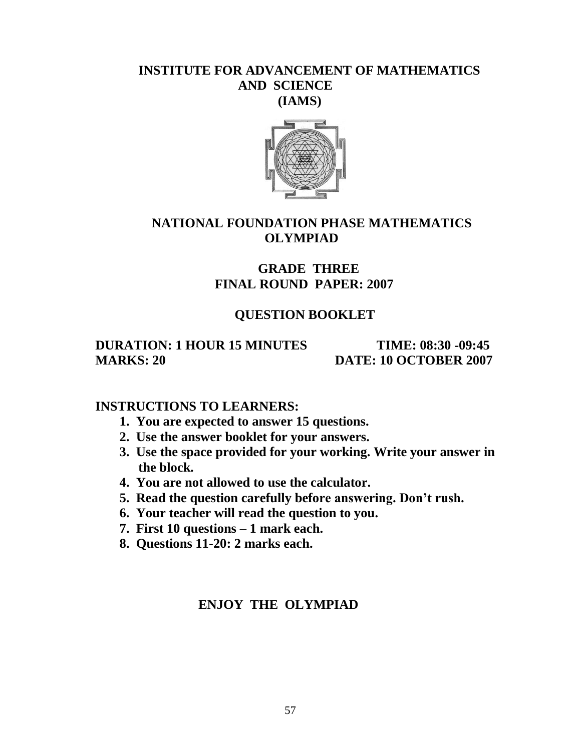#### **INSTITUTE FOR ADVANCEMENT OF MATHEMATICS AND SCIENCE (IAMS)**



#### **NATIONAL FOUNDATION PHASE MATHEMATICS OLYMPIAD**

## **GRADE THREE FINAL ROUND PAPER: 2007**

### **QUESTION BOOKLET**

#### **DURATION: 1 HOUR 15 MINUTES TIME: 08:30 -09:45 MARKS: 20 DATE: 10 OCTOBER 2007**

#### **INSTRUCTIONS TO LEARNERS:**

- **1. You are expected to answer 15 questions.**
- **2. Use the answer booklet for your answers.**
- **3. Use the space provided for your working. Write your answer in the block.**
- **4. You are not allowed to use the calculator.**
- **5. Read the question carefully before answering. Don't rush.**
- **6. Your teacher will read the question to you.**
- **7. First 10 questions – 1 mark each.**
- **8. Questions 11-20: 2 marks each.**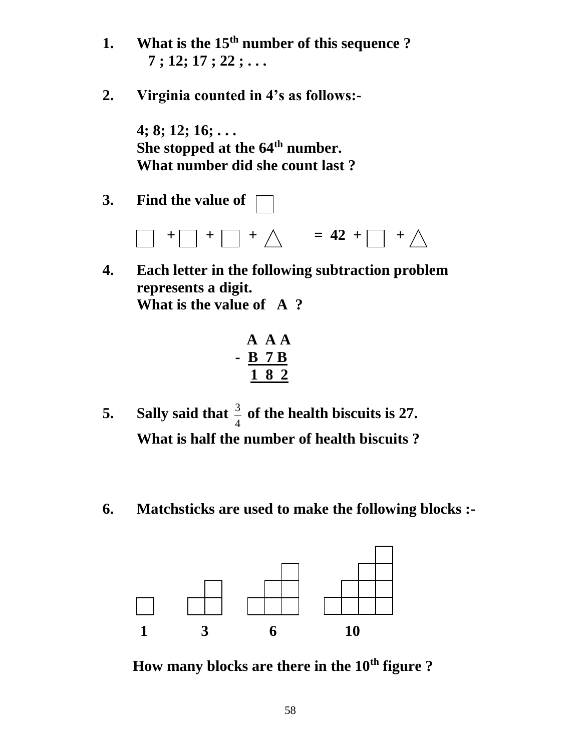- **1. What is the 15th number of this sequence ? 7 ; 12; 17 ; 22 ; . . .**
- **2. Virginia counted in 4's as follows:-**

**4; 8; 12; 16; . . . She stopped at the 64th number. What number did she count last ?**

**3. Find the value of** 



**4. Each letter in the following subtraction problem represents a digit. What is the value of A ?**

$$
\begin{array}{c}\n \text{A} \text{A} \text{A} \\
\text{B} \text{7} \text{B} \\
\hline\n \text{1} \text{8} \text{2}\n \end{array}
$$

- **5. Sally said that**  4  $\frac{3}{4}$  of the health biscuits is 27. **What is half the number of health biscuits ?**
- **6. Matchsticks are used to make the following blocks :-**



 **How many blocks are there in the 10th figure ?**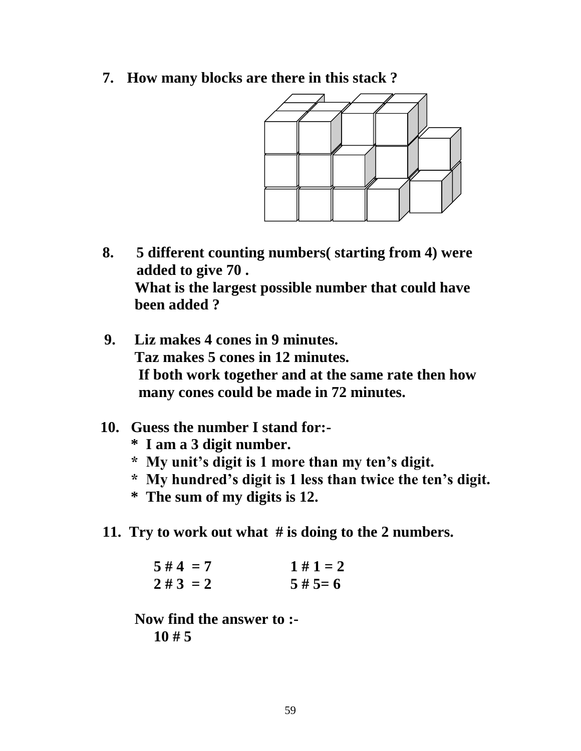**7. How many blocks are there in this stack ?** 



- **8. 5 different counting numbers( starting from 4) were added to give 70 . What is the largest possible number that could have been added ?**
- **9. Liz makes 4 cones in 9 minutes. Taz makes 5 cones in 12 minutes. If both work together and at the same rate then how many cones could be made in 72 minutes.**
- **10. Guess the number I stand for:-**
	- **\* I am a 3 digit number.**
	- **\* My unit's digit is 1 more than my ten's digit.**
	- **\* My hundred's digit is 1 less than twice the ten's digit.**
	- **\* The sum of my digits is 12.**
- **11. Try to work out what # is doing to the 2 numbers.**

 $5 \# 4 = 7$   $1 \# 1 = 2$  $2 \# 3 = 2$   $5 \# 5= 6$ 

 **Now find the answer to :- 10 # 5**